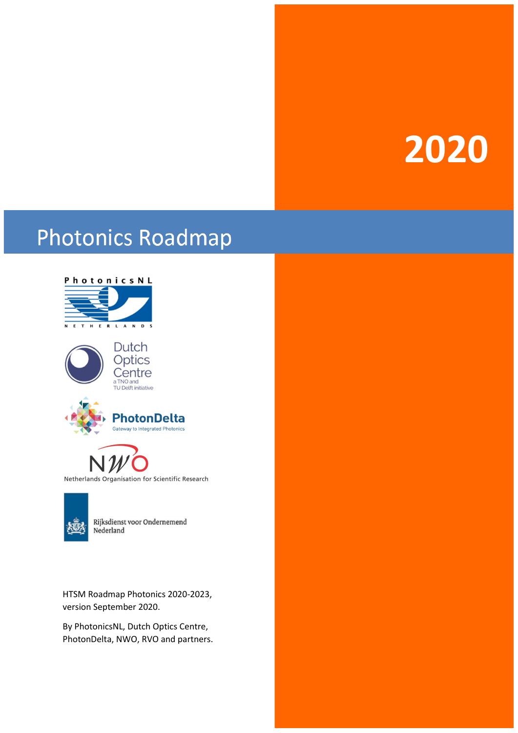# **2020**

# **Photonics Roadmap**





Rijksdienst voor Ondernemend Nederland

HTSM Roadmap Photonics 2020-2023, version September 2020.

By PhotonicsNL, Dutch Optics Centre, PhotonDelta, NWO, RVO and partners.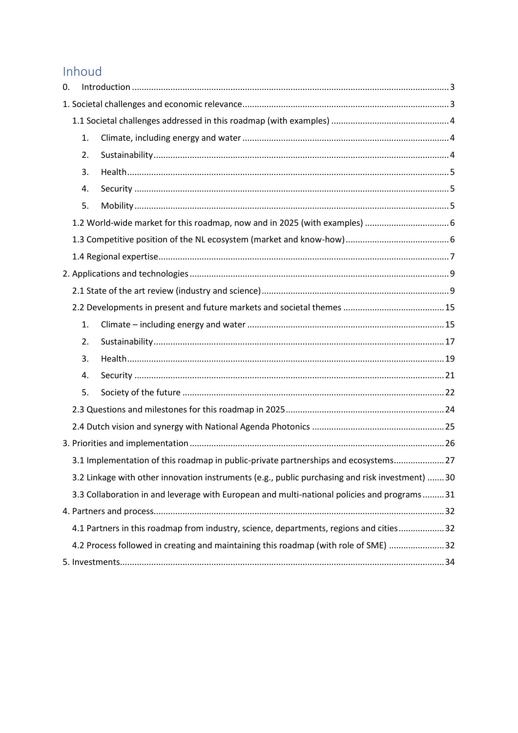# Inhoud

| 0.                                                                                         |    |                                                                                                |  |  |  |  |  |  |
|--------------------------------------------------------------------------------------------|----|------------------------------------------------------------------------------------------------|--|--|--|--|--|--|
|                                                                                            |    |                                                                                                |  |  |  |  |  |  |
|                                                                                            |    |                                                                                                |  |  |  |  |  |  |
|                                                                                            | 1. |                                                                                                |  |  |  |  |  |  |
|                                                                                            | 2. |                                                                                                |  |  |  |  |  |  |
|                                                                                            | 3. |                                                                                                |  |  |  |  |  |  |
|                                                                                            | 4. |                                                                                                |  |  |  |  |  |  |
|                                                                                            | 5. |                                                                                                |  |  |  |  |  |  |
|                                                                                            |    |                                                                                                |  |  |  |  |  |  |
|                                                                                            |    |                                                                                                |  |  |  |  |  |  |
|                                                                                            |    |                                                                                                |  |  |  |  |  |  |
|                                                                                            |    |                                                                                                |  |  |  |  |  |  |
|                                                                                            |    |                                                                                                |  |  |  |  |  |  |
|                                                                                            |    |                                                                                                |  |  |  |  |  |  |
|                                                                                            | 1. |                                                                                                |  |  |  |  |  |  |
|                                                                                            | 2. |                                                                                                |  |  |  |  |  |  |
|                                                                                            | 3. |                                                                                                |  |  |  |  |  |  |
|                                                                                            | 4. |                                                                                                |  |  |  |  |  |  |
|                                                                                            | 5. |                                                                                                |  |  |  |  |  |  |
|                                                                                            |    |                                                                                                |  |  |  |  |  |  |
|                                                                                            |    |                                                                                                |  |  |  |  |  |  |
|                                                                                            |    |                                                                                                |  |  |  |  |  |  |
|                                                                                            |    | 3.1 Implementation of this roadmap in public-private partnerships and ecosystems 27            |  |  |  |  |  |  |
|                                                                                            |    | 3.2 Linkage with other innovation instruments (e.g., public purchasing and risk investment) 30 |  |  |  |  |  |  |
| 3.3 Collaboration in and leverage with European and multi-national policies and programs31 |    |                                                                                                |  |  |  |  |  |  |
|                                                                                            |    |                                                                                                |  |  |  |  |  |  |
|                                                                                            |    | 4.1 Partners in this roadmap from industry, science, departments, regions and cities32         |  |  |  |  |  |  |
|                                                                                            |    | 4.2 Process followed in creating and maintaining this roadmap (with role of SME) 32            |  |  |  |  |  |  |
|                                                                                            |    |                                                                                                |  |  |  |  |  |  |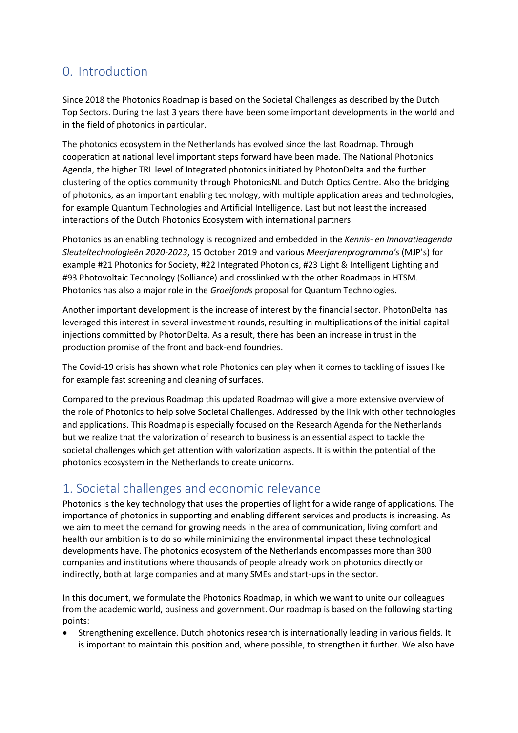# <span id="page-2-0"></span>0. Introduction

Since 2018 the Photonics Roadmap is based on the Societal Challenges as described by the Dutch Top Sectors. During the last 3 years there have been some important developments in the world and in the field of photonics in particular.

The photonics ecosystem in the Netherlands has evolved since the last Roadmap. Through cooperation at national level important steps forward have been made. The National Photonics Agenda, the higher TRL level of Integrated photonics initiated by PhotonDelta and the further clustering of the optics community through PhotonicsNL and Dutch Optics Centre. Also the bridging of photonics, as an important enabling technology, with multiple application areas and technologies, for example Quantum Technologies and Artificial Intelligence. Last but not least the increased interactions of the Dutch Photonics Ecosystem with international partners.

Photonics as an enabling technology is recognized and embedded in the *Kennis- en Innovatieagenda Sleuteltechnologieën 2020-2023*, 15 October 2019 and various *Meerjarenprogramma's* (MJP's) for example #21 Photonics for Society, #22 Integrated Photonics, #23 Light & Intelligent Lighting and #93 Photovoltaic Technology (Solliance) and crosslinked with the other Roadmaps in HTSM. Photonics has also a major role in the *Groeifonds* proposal for Quantum Technologies.

Another important development is the increase of interest by the financial sector. PhotonDelta has leveraged this interest in several investment rounds, resulting in multiplications of the initial capital injections committed by PhotonDelta. As a result, there has been an increase in trust in the production promise of the front and back-end foundries.

The Covid-19 crisis has shown what role Photonics can play when it comes to tackling of issues like for example fast screening and cleaning of surfaces.

Compared to the previous Roadmap this updated Roadmap will give a more extensive overview of the role of Photonics to help solve Societal Challenges. Addressed by the link with other technologies and applications. This Roadmap is especially focused on the Research Agenda for the Netherlands but we realize that the valorization of research to business is an essential aspect to tackle the societal challenges which get attention with valorization aspects. It is within the potential of the photonics ecosystem in the Netherlands to create unicorns.

# <span id="page-2-1"></span>1. Societal challenges and economic relevance

Photonics is the key technology that uses the properties of light for a wide range of applications. The importance of photonics in supporting and enabling different services and products is increasing. As we aim to meet the demand for growing needs in the area of communication, living comfort and health our ambition is to do so while minimizing the environmental impact these technological developments have. The photonics ecosystem of the Netherlands encompasses more than 300 companies and institutions where thousands of people already work on photonics directly or indirectly, both at large companies and at many SMEs and start-ups in the sector.

In this document, we formulate the Photonics Roadmap, in which we want to unite our colleagues from the academic world, business and government. Our roadmap is based on the following starting points:

• Strengthening excellence. Dutch photonics research is internationally leading in various fields. It is important to maintain this position and, where possible, to strengthen it further. We also have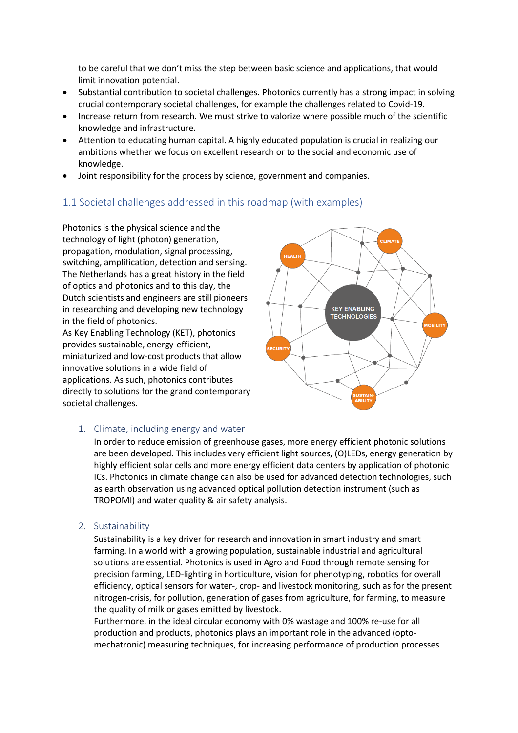to be careful that we don't miss the step between basic science and applications, that would limit innovation potential.

- Substantial contribution to societal challenges. Photonics currently has a strong impact in solving crucial contemporary societal challenges, for example the challenges related to Covid-19.
- Increase return from research. We must strive to valorize where possible much of the scientific knowledge and infrastructure.
- Attention to educating human capital. A highly educated population is crucial in realizing our ambitions whether we focus on excellent research or to the social and economic use of knowledge.
- Joint responsibility for the process by science, government and companies.

# <span id="page-3-0"></span>1.1 Societal challenges addressed in this roadmap (with examples)

Photonics is the physical science and the technology of light (photon) generation, propagation, modulation, signal processing, switching, amplification, detection and sensing. The Netherlands has a great history in the field of optics and photonics and to this day, the Dutch scientists and engineers are still pioneers in researching and developing new technology in the field of photonics.

As Key Enabling Technology (KET), photonics provides sustainable, energy-efficient, miniaturized and low-cost products that allow innovative solutions in a wide field of applications. As such, photonics contributes directly to solutions for the grand contemporary societal challenges.



#### <span id="page-3-1"></span>1. Climate, including energy and water

In order to reduce emission of greenhouse gases, more energy efficient photonic solutions are been developed. This includes very efficient light sources, (O)LEDs, energy generation by highly efficient solar cells and more energy efficient data centers by application of photonic ICs. Photonics in climate change can also be used for advanced detection technologies, such as earth observation using advanced optical pollution detection instrument (such as TROPOMI) and water quality & air safety analysis.

#### <span id="page-3-2"></span>2. Sustainability

Sustainability is a key driver for research and innovation in smart industry and smart farming. In a world with a growing population, sustainable industrial and agricultural solutions are essential. Photonics is used in Agro and Food through remote sensing for precision farming, LED-lighting in horticulture, vision for phenotyping, robotics for overall efficiency, optical sensors for water-, crop- and livestock monitoring, such as for the present nitrogen-crisis, for pollution, generation of gases from agriculture, for farming, to measure the quality of milk or gases emitted by livestock.

Furthermore, in the ideal circular economy with 0% wastage and 100% re-use for all production and products, photonics plays an important role in the advanced (optomechatronic) measuring techniques, for increasing performance of production processes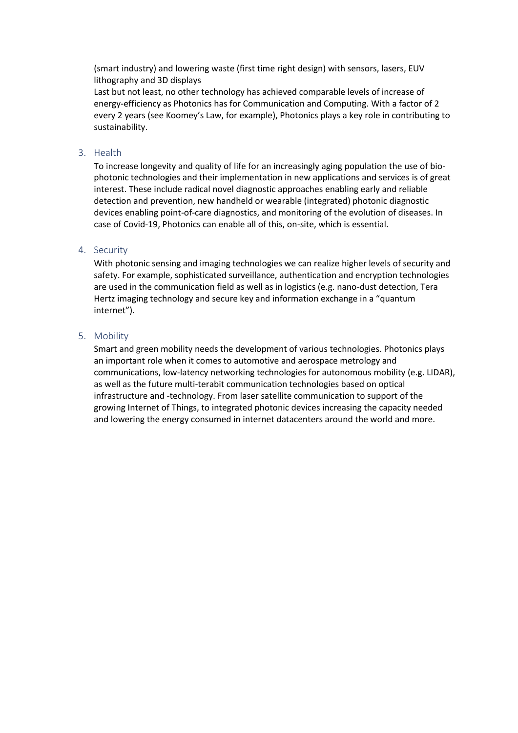(smart industry) and lowering waste (first time right design) with sensors, lasers, EUV lithography and 3D displays

Last but not least, no other technology has achieved comparable levels of increase of energy-efficiency as Photonics has for Communication and Computing. With a factor of 2 every 2 years (see Koomey's Law, for example), Photonics plays a key role in contributing to sustainability.

#### <span id="page-4-0"></span>3. Health

To increase longevity and quality of life for an increasingly aging population the use of biophotonic technologies and their implementation in new applications and services is of great interest. These include radical novel diagnostic approaches enabling early and reliable detection and prevention, new handheld or wearable (integrated) photonic diagnostic devices enabling point-of-care diagnostics, and monitoring of the evolution of diseases. In case of Covid-19, Photonics can enable all of this, on-site, which is essential.

#### <span id="page-4-1"></span>4. Security

With photonic sensing and imaging technologies we can realize higher levels of security and safety. For example, sophisticated surveillance, authentication and encryption technologies are used in the communication field as well as in logistics (e.g. nano-dust detection, Tera Hertz imaging technology and secure key and information exchange in a "quantum internet").

#### <span id="page-4-2"></span>5. Mobility

Smart and green mobility needs the development of various technologies. Photonics plays an important role when it comes to automotive and aerospace metrology and communications, low-latency networking technologies for autonomous mobility (e.g. LIDAR), as well as the future multi-terabit communication technologies based on optical infrastructure and -technology. From laser satellite communication to support of the growing Internet of Things, to integrated photonic devices increasing the capacity needed and lowering the energy consumed in internet datacenters around the world and more.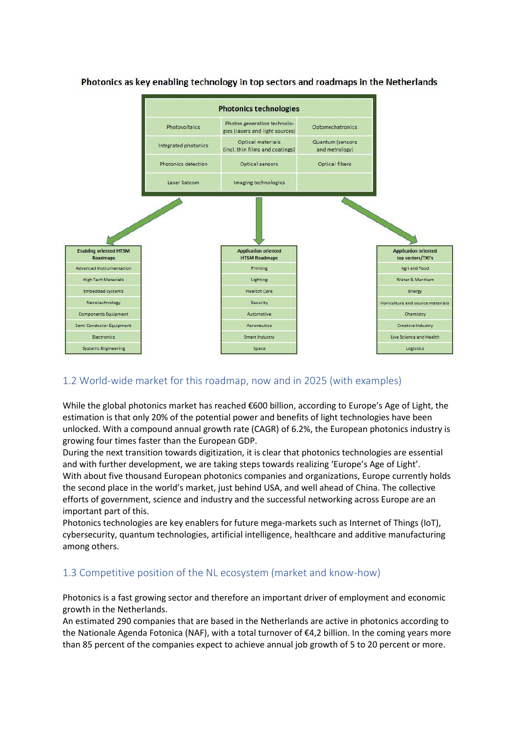

# Photonics as key enabling technology in top sectors and roadmaps in the Netherlands

# <span id="page-5-0"></span>1.2 World-wide market for this roadmap, now and in 2025 (with examples)

While the global photonics market has reached €600 billion, according to Europe's Age of Light, the estimation is that only 20% of the potential power and benefits of light technologies have been unlocked. With a compound annual growth rate (CAGR) of 6.2%, the European photonics industry is growing four times faster than the European GDP.

During the next transition towards digitization, it is clear that photonics technologies are essential and with further development, we are taking steps towards realizing 'Europe's Age of Light'. With about five thousand European photonics companies and organizations, Europe currently holds the second place in the world's market, just behind USA, and well ahead of China. The collective efforts of government, science and industry and the successful networking across Europe are an important part of this.

Photonics technologies are key enablers for future mega-markets such as Internet of Things (IoT), cybersecurity, quantum technologies, artificial intelligence, healthcare and additive manufacturing among others.

# <span id="page-5-1"></span>1.3 Competitive position of the NL ecosystem (market and know-how)

Photonics is a fast growing sector and therefore an important driver of employment and economic growth in the Netherlands.

An estimated 290 companies that are based in the Netherlands are active in photonics according to the Nationale Agenda Fotonica (NAF), with a total turnover of €4,2 billion. In the coming years more than 85 percent of the companies expect to achieve annual job growth of 5 to 20 percent or more.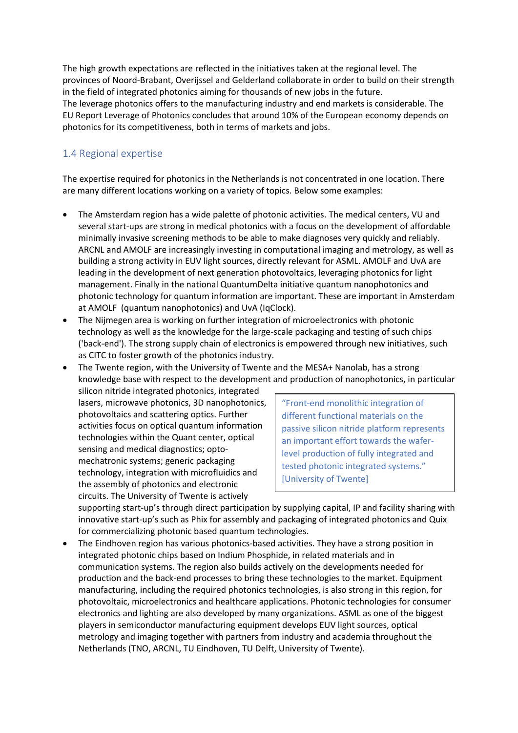The high growth expectations are reflected in the initiatives taken at the regional level. The provinces of Noord-Brabant, Overijssel and Gelderland collaborate in order to build on their strength in the field of integrated photonics aiming for thousands of new jobs in the future. The leverage photonics offers to the manufacturing industry and end markets is considerable. The EU Report Leverage of Photonics concludes that around 10% of the European economy depends on photonics for its competitiveness, both in terms of markets and jobs.

# <span id="page-6-0"></span>1.4 Regional expertise

The expertise required for photonics in the Netherlands is not concentrated in one location. There are many different locations working on a variety of topics. Below some examples:

- The Amsterdam region has a wide palette of photonic activities. The medical centers, VU and several start-ups are strong in medical photonics with a focus on the development of affordable minimally invasive screening methods to be able to make diagnoses very quickly and reliably. ARCNL and AMOLF are increasingly investing in computational imaging and metrology, as well as building a strong activity in EUV light sources, directly relevant for ASML. AMOLF and UvA are leading in the development of next generation photovoltaics, leveraging photonics for light management. Finally in the national QuantumDelta initiative quantum nanophotonics and photonic technology for quantum information are important. These are important in Amsterdam at AMOLF (quantum nanophotonics) and UvA (IqClock).
- The Nijmegen area is working on further integration of microelectronics with photonic technology as well as the knowledge for the large-scale packaging and testing of such chips ('back-end'). The strong supply chain of electronics is empowered through new initiatives, such as CITC to foster growth of the photonics industry.
- The Twente region, with the University of Twente and the MESA+ Nanolab, has a strong knowledge base with respect to the development and production of nanophotonics, in particular

silicon nitride integrated photonics, integrated lasers, microwave photonics, 3D nanophotonics, photovoltaics and scattering optics. Further activities focus on optical quantum information technologies within the Quant center, optical sensing and medical diagnostics; optomechatronic systems; generic packaging technology, integration with microfluidics and the assembly of photonics and electronic circuits. The University of Twente is actively

"Front-end monolithic integration of different functional materials on the passive silicon nitride platform represents an important effort towards the waferlevel production of fully integrated and tested photonic integrated systems." [University of Twente]

supporting start-up's through direct participation by supplying capital, IP and facility sharing with innovative start-up's such as Phix for assembly and packaging of integrated photonics and Quix for commercializing photonic based quantum technologies.

• The Eindhoven region has various photonics-based activities. They have a strong position in integrated photonic chips based on Indium Phosphide, in related materials and in communication systems. The region also builds actively on the developments needed for production and the back-end processes to bring these technologies to the market. Equipment manufacturing, including the required photonics technologies, is also strong in this region, for photovoltaic, microelectronics and healthcare applications. Photonic technologies for consumer electronics and lighting are also developed by many organizations. ASML as one of the biggest players in semiconductor manufacturing equipment develops EUV light sources, optical metrology and imaging together with partners from industry and academia throughout the Netherlands (TNO, ARCNL, TU Eindhoven, TU Delft, University of Twente).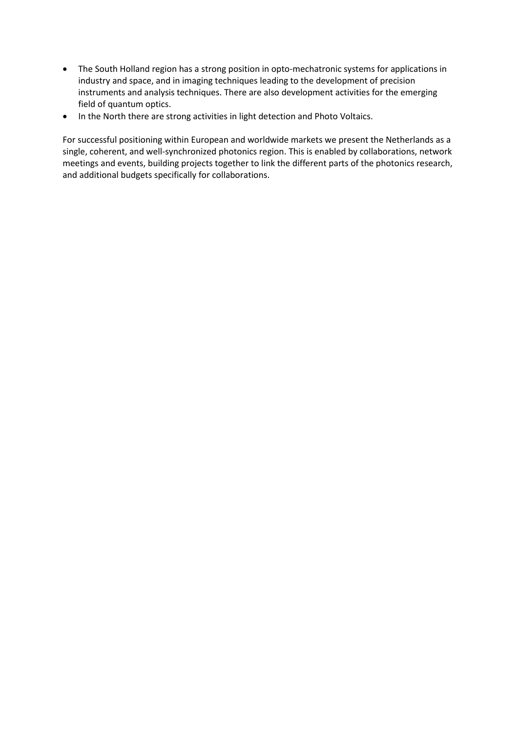- The South Holland region has a strong position in opto-mechatronic systems for applications in industry and space, and in imaging techniques leading to the development of precision instruments and analysis techniques. There are also development activities for the emerging field of quantum optics.
- In the North there are strong activities in light detection and Photo Voltaics.

For successful positioning within European and worldwide markets we present the Netherlands as a single, coherent, and well-synchronized photonics region. This is enabled by collaborations, network meetings and events, building projects together to link the different parts of the photonics research, and additional budgets specifically for collaborations.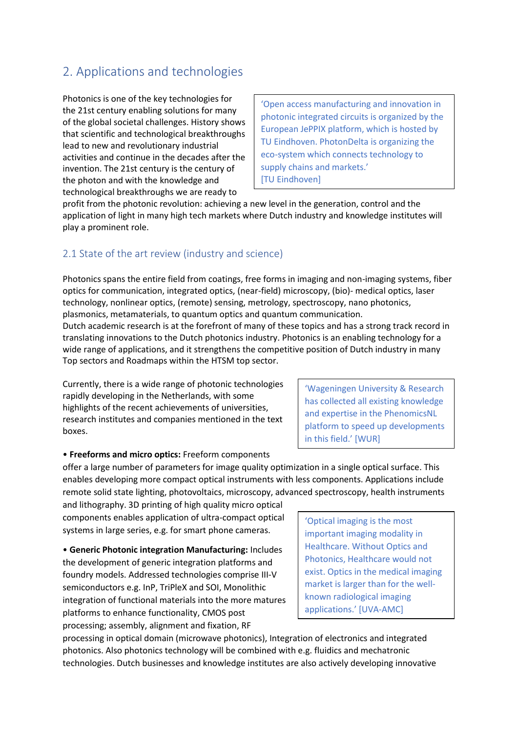# <span id="page-8-0"></span>2. Applications and technologies

Photonics is one of the key technologies for the 21st century enabling solutions for many of the global societal challenges. History shows that scientific and technological breakthroughs lead to new and revolutionary industrial activities and continue in the decades after the invention. The 21st century is the century of the photon and with the knowledge and technological breakthroughs we are ready to

'Open access manufacturing and innovation in photonic integrated circuits is organized by the European JePPIX platform, which is hosted by TU Eindhoven. PhotonDelta is organizing the eco-system which connects technology to supply chains and markets.' [TU Eindhoven]

profit from the photonic revolution: achieving a new level in the generation, control and the application of light in many high tech markets where Dutch industry and knowledge institutes will play a prominent role.

# <span id="page-8-1"></span>2.1 State of the art review (industry and science)

Photonics spans the entire field from coatings, free forms in imaging and non-imaging systems, fiber optics for communication, integrated optics, (near-field) microscopy, (bio)- medical optics, laser technology, nonlinear optics, (remote) sensing, metrology, spectroscopy, nano photonics, plasmonics, metamaterials, to quantum optics and quantum communication.

Dutch academic research is at the forefront of many of these topics and has a strong track record in translating innovations to the Dutch photonics industry. Photonics is an enabling technology for a wide range of applications, and it strengthens the competitive position of Dutch industry in many Top sectors and Roadmaps within the HTSM top sector.

Currently, there is a wide range of photonic technologies rapidly developing in the Netherlands, with some highlights of the recent achievements of universities, research institutes and companies mentioned in the text boxes.

'Wageningen University & Research has collected all existing knowledge and expertise in the PhenomicsNL platform to speed up developments in this field.' [WUR]

#### • **Freeforms and micro optics:** Freeform components

offer a large number of parameters for image quality optimization in a single optical surface. This enables developing more compact optical instruments with less components. Applications include remote solid state lighting, photovoltaics, microscopy, advanced spectroscopy, health instruments

and lithography. 3D printing of high quality micro optical components enables application of ultra-compact optical systems in large series, e.g. for smart phone cameras.

• **Generic Photonic integration Manufacturing:** Includes the development of generic integration platforms and foundry models. Addressed technologies comprise III-V semiconductors e.g. InP, TriPleX and SOI, Monolithic integration of functional materials into the more matures platforms to enhance functionality, CMOS post processing; assembly, alignment and fixation, RF

'Optical imaging is the most important imaging modality in Healthcare. Without Optics and Photonics, Healthcare would not exist. Optics in the medical imaging market is larger than for the wellknown radiological imaging applications.' [UVA-AMC]

processing in optical domain (microwave photonics), Integration of electronics and integrated photonics. Also photonics technology will be combined with e.g. fluidics and mechatronic technologies. Dutch businesses and knowledge institutes are also actively developing innovative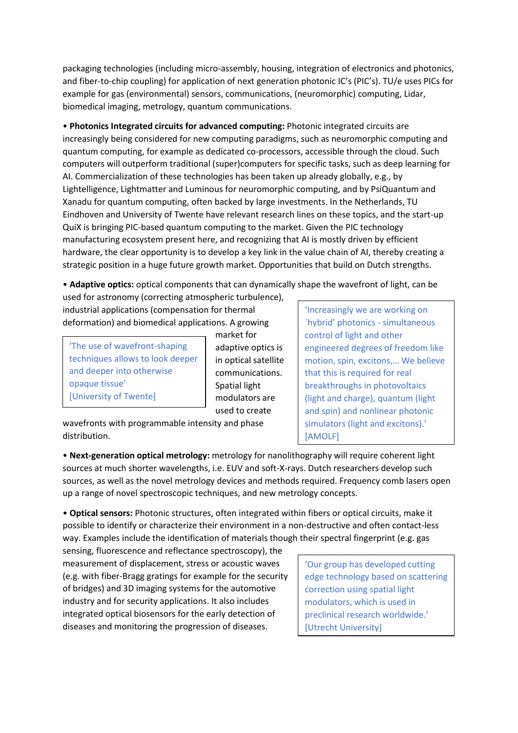packaging technologies (including micro-assembly, housing, integration of electronics and photonics, and fiber-to-chip coupling) for application of next generation photonic IC's (PIC's). TU/e uses PICs for example for gas (environmental) sensors, communications, (neuromorphic) computing, Lidar, biomedical imaging, metrology, quantum communications.

• **Photonics Integrated circuits for advanced computing:** Photonic integrated circuits are increasingly being considered for new computing paradigms, such as neuromorphic computing and quantum computing, for example as dedicated co-processors, accessible through the cloud. Such computers will outperform traditional (super)computers for specific tasks, such as deep learning for AI. Commercialization of these technologies has been taken up already globally, e.g., by Lightelligence, Lightmatter and Luminous for neuromorphic computing, and by PsiQuantum and Xanadu for quantum computing, often backed by large investments. In the Netherlands, TU Eindhoven and University of Twente have relevant research lines on these topics, and the start-up QuiX is bringing PIC-based quantum computing to the market. Given the PIC technology manufacturing ecosystem present here, and recognizing that AI is mostly driven by efficient hardware, the clear opportunity is to develop a key link in the value chain of AI, thereby creating a strategic position in a huge future growth market. Opportunities that build on Dutch strengths.

• **Adaptive optics:** optical components that can dynamically shape the wavefront of light, can be

used for astronomy (correcting atmospheric turbulence), industrial applications (compensation for thermal deformation) and biomedical applications. A growing

'The use of wavefront-shaping techniques allows to look deeper and deeper into otherwise opaque tissue' [University of Twente]

market for adaptive optics is in optical satellite communications. Spatial light modulators are used to create

wavefronts with programmable intensity and phase distribution.

'Increasingly we are working on `hybrid' photonics - simultaneous control of light and other engineered degrees of freedom like motion, spin, excitons,… We believe that this is required for real breakthroughs in photovoltaics (light and charge), quantum (light and spin) and nonlinear photonic simulators (light and excitons).' [AMOLF]

• **Next-generation optical metrology:** metrology for nanolithography will require coherent light sources at much shorter wavelengths, i.e. EUV and soft-X-rays. Dutch researchers develop such sources, as well as the novel metrology devices and methods required. Frequency comb lasers open up a range of novel spectroscopic techniques, and new metrology concepts.

• **Optical sensors:** Photonic structures, often integrated within fibers or optical circuits, make it possible to identify or characterize their environment in a non-destructive and often contact-less way. Examples include the identification of materials though their spectral fingerprint (e.g. gas

sensing, fluorescence and reflectance spectroscopy), the measurement of displacement, stress or acoustic waves (e.g. with fiber-Bragg gratings for example for the security of bridges) and 3D imaging systems for the automotive industry and for security applications. It also includes integrated optical biosensors for the early detection of diseases and monitoring the progression of diseases.

'Our group has developed cutting edge technology based on scattering correction using spatial light modulators, which is used in preclinical research worldwide.' [Utrecht University]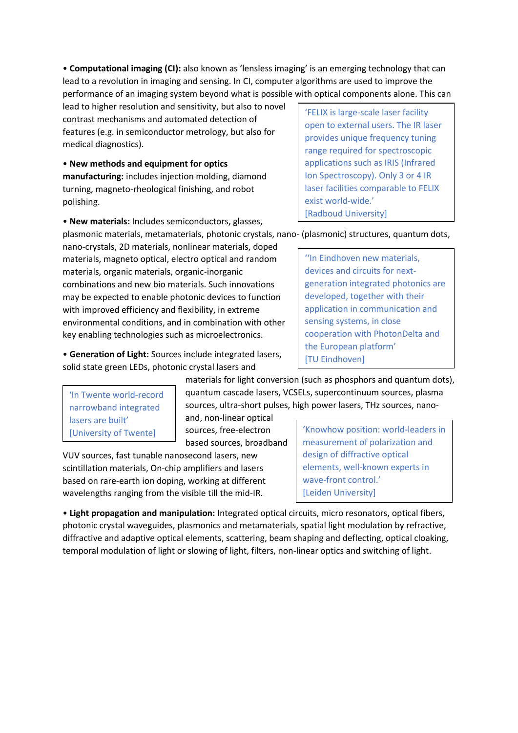• **Computational imaging (CI):** also known as 'lensless imaging' is an emerging technology that can lead to a revolution in imaging and sensing. In CI, computer algorithms are used to improve the performance of an imaging system beyond what is possible with optical components alone. This can

lead to higher resolution and sensitivity, but also to novel contrast mechanisms and automated detection of features (e.g. in semiconductor metrology, but also for medical diagnostics).

• **New methods and equipment for optics manufacturing:** includes injection molding, diamond turning, magneto-rheological finishing, and robot polishing.

• **New materials:** Includes semiconductors, glasses,

'FELIX is large-scale laser facility open to external users. The IR laser provides unique frequency tuning range required for spectroscopic applications such as IRIS (Infrared Ion Spectroscopy). Only 3 or 4 IR laser facilities comparable to FELIX exist world-wide.' [Radboud University]

plasmonic materials, metamaterials, photonic crystals, nano- (plasmonic) structures, quantum dots,

nano-crystals, 2D materials, nonlinear materials, doped materials, magneto optical, electro optical and random materials, organic materials, organic-inorganic combinations and new bio materials. Such innovations may be expected to enable photonic devices to function with improved efficiency and flexibility, in extreme environmental conditions, and in combination with other key enabling technologies such as microelectronics.

• **Generation of Light:** Sources include integrated lasers, solid state green LEDs, photonic crystal lasers and

'In Twente world-record narrowband integrated lasers are built' [University of Twente]

materials for light conversion (such as phosphors and quantum dots), quantum cascade lasers, VCSELs, supercontinuum sources, plasma sources, ultra-short pulses, high power lasers, THz sources, nano-

and, non-linear optical sources, free-electron based sources, broadband

VUV sources, fast tunable nanosecond lasers, new scintillation materials, On-chip amplifiers and lasers based on rare-earth ion doping, working at different wavelengths ranging from the visible till the mid-IR.

'Knowhow position: world-leaders in measurement of polarization and design of diffractive optical elements, well-known experts in wave-front control.' [Leiden University]

• **Light propagation and manipulation:** Integrated optical circuits, micro resonators, optical fibers, photonic crystal waveguides, plasmonics and metamaterials, spatial light modulation by refractive, diffractive and adaptive optical elements, scattering, beam shaping and deflecting, optical cloaking, temporal modulation of light or slowing of light, filters, non-linear optics and switching of light.

''In Eindhoven new materials, devices and circuits for nextgeneration integrated photonics are developed, together with their application in communication and sensing systems, in close cooperation with PhotonDelta and the European platform' [TU Eindhoven]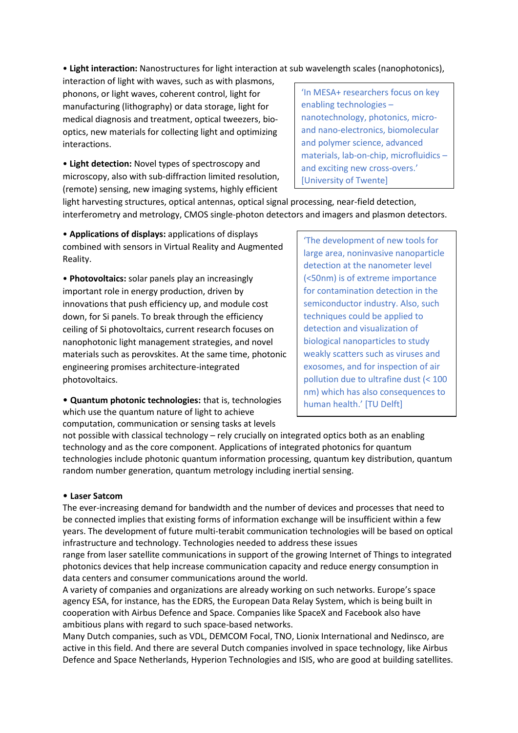• **Light interaction:** Nanostructures for light interaction at sub wavelength scales (nanophotonics),

interaction of light with waves, such as with plasmons, phonons, or light waves, coherent control, light for manufacturing (lithography) or data storage, light for medical diagnosis and treatment, optical tweezers, biooptics, new materials for collecting light and optimizing interactions.

• **Light detection:** Novel types of spectroscopy and microscopy, also with sub-diffraction limited resolution, (remote) sensing, new imaging systems, highly efficient

'In MESA+ researchers focus on key enabling technologies – nanotechnology, photonics, microand nano-electronics, biomolecular and polymer science, advanced materials, lab-on-chip, microfluidics – and exciting new cross-overs.' [University of Twente]

light harvesting structures, optical antennas, optical signal processing, near-field detection, interferometry and metrology, CMOS single-photon detectors and imagers and plasmon detectors.

• **Applications of displays:** applications of displays combined with sensors in Virtual Reality and Augmented Reality.

• **Photovoltaics:** solar panels play an increasingly important role in energy production, driven by innovations that push efficiency up, and module cost down, for Si panels. To break through the efficiency ceiling of Si photovoltaics, current research focuses on nanophotonic light management strategies, and novel materials such as perovskites. At the same time, photonic engineering promises architecture-integrated photovoltaics.

• **Quantum photonic technologies:** that is, technologies which use the quantum nature of light to achieve computation, communication or sensing tasks at levels

'The development of new tools for large area, noninvasive nanoparticle detection at the nanometer level (<50nm) is of extreme importance for contamination detection in the semiconductor industry. Also, such techniques could be applied to detection and visualization of biological nanoparticles to study weakly scatters such as viruses and exosomes, and for inspection of air pollution due to ultrafine dust (< 100 nm) which has also consequences to human health.' [TU Delft]

not possible with classical technology – rely crucially on integrated optics both as an enabling technology and as the core component. Applications of integrated photonics for quantum technologies include photonic quantum information processing, quantum key distribution, quantum random number generation, quantum metrology including inertial sensing.

#### • **Laser Satcom**

The ever-increasing demand for bandwidth and the number of devices and processes that need to be connected implies that existing forms of information exchange will be insufficient within a few years. The development of future multi-terabit communication technologies will be based on optical infrastructure and technology. Technologies needed to address these issues

range from laser satellite communications in support of the growing Internet of Things to integrated photonics devices that help increase communication capacity and reduce energy consumption in data centers and consumer communications around the world.

A variety of companies and organizations are already working on such networks. Europe's space agency ESA, for instance, has the EDRS, the European Data Relay System, which is being built in cooperation with Airbus Defence and Space. Companies like SpaceX and Facebook also have ambitious plans with regard to such space-based networks.

Many Dutch companies, such as VDL, DEMCOM Focal, TNO, Lionix International and Nedinsco, are active in this field. And there are several Dutch companies involved in space technology, like Airbus Defence and Space Netherlands, Hyperion Technologies and ISIS, who are good at building satellites.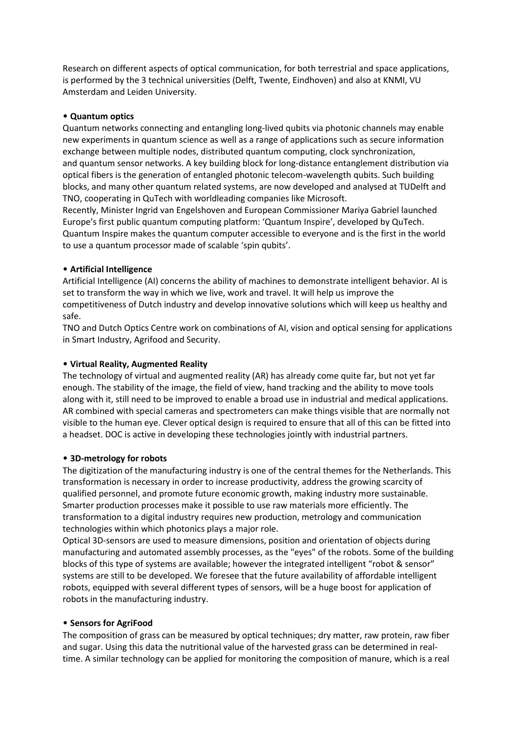Research on different aspects of optical communication, for both terrestrial and space applications, is performed by the 3 technical universities (Delft, Twente, Eindhoven) and also at KNMI, VU Amsterdam and Leiden University.

#### • **Quantum optics**

Quantum networks connecting and entangling long-lived qubits via photonic channels may enable new experiments in quantum science as well as a range of applications such as secure information exchange between multiple nodes, distributed quantum computing, clock synchronization, and quantum sensor networks. A key building block for long-distance entanglement distribution via optical fibers is the generation of entangled photonic telecom-wavelength qubits. Such building blocks, and many other quantum related systems, are now developed and analysed at TUDelft and TNO, cooperating in QuTech with worldleading companies like Microsoft.

Recently, Minister Ingrid van Engelshoven and European Commissioner Mariya Gabriel launched Europe's first public quantum computing platform: 'Quantum Inspire', developed by QuTech. Quantum Inspire makes the quantum computer accessible to everyone and is the first in the world to use a quantum processor made of scalable 'spin qubits'.

#### • **Artificial Intelligence**

Artificial Intelligence (AI) concerns the ability of machines to demonstrate intelligent behavior. AI is set to transform the way in which we live, work and travel. It will help us improve the competitiveness of Dutch industry and develop innovative solutions which will keep us healthy and safe.

TNO and Dutch Optics Centre work on combinations of AI, vision and optical sensing for applications in Smart Industry, Agrifood and Security.

#### • **Virtual Reality, Augmented Reality**

The technology of virtual and augmented reality (AR) has already come quite far, but not yet far enough. The stability of the image, the field of view, hand tracking and the ability to move tools along with it, still need to be improved to enable a broad use in industrial and medical applications. AR combined with special cameras and spectrometers can make things visible that are normally not visible to the human eye. Clever optical design is required to ensure that all of this can be fitted into a headset. DOC is active in developing these technologies jointly with industrial partners.

#### • **3D-metrology for robots**

The digitization of the manufacturing industry is one of the central themes for the Netherlands. This transformation is necessary in order to increase productivity, address the growing scarcity of qualified personnel, and promote future economic growth, making industry more sustainable. Smarter production processes make it possible to use raw materials more efficiently. The transformation to a digital industry requires new production, metrology and communication technologies within which photonics plays a major role.

Optical 3D-sensors are used to measure dimensions, position and orientation of objects during manufacturing and automated assembly processes, as the "eyes" of the robots. Some of the building blocks of this type of systems are available; however the integrated intelligent "robot & sensor" systems are still to be developed. We foresee that the future availability of affordable intelligent robots, equipped with several different types of sensors, will be a huge boost for application of robots in the manufacturing industry.

#### • **Sensors for AgriFood**

The composition of grass can be measured by optical techniques; dry matter, raw protein, raw fiber and sugar. Using this data the nutritional value of the harvested grass can be determined in realtime. A similar technology can be applied for monitoring the composition of manure, which is a real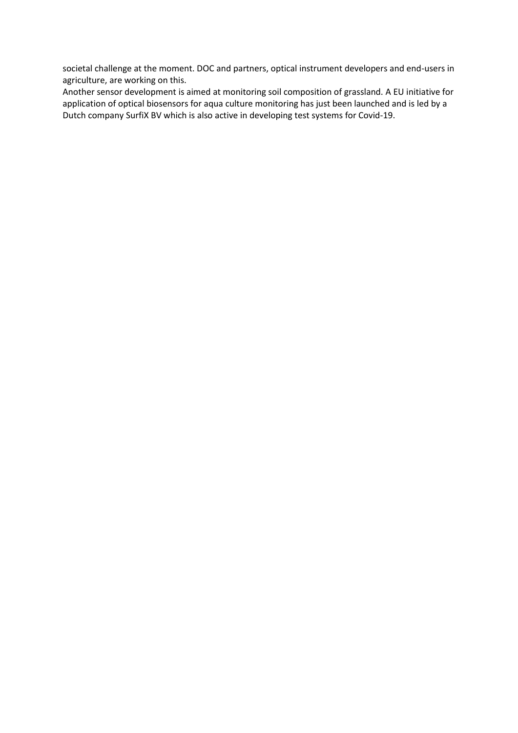societal challenge at the moment. DOC and partners, optical instrument developers and end-users in agriculture, are working on this.

Another sensor development is aimed at monitoring soil composition of grassland. A EU initiative for application of optical biosensors for aqua culture monitoring has just been launched and is led by a Dutch company SurfiX BV which is also active in developing test systems for Covid-19.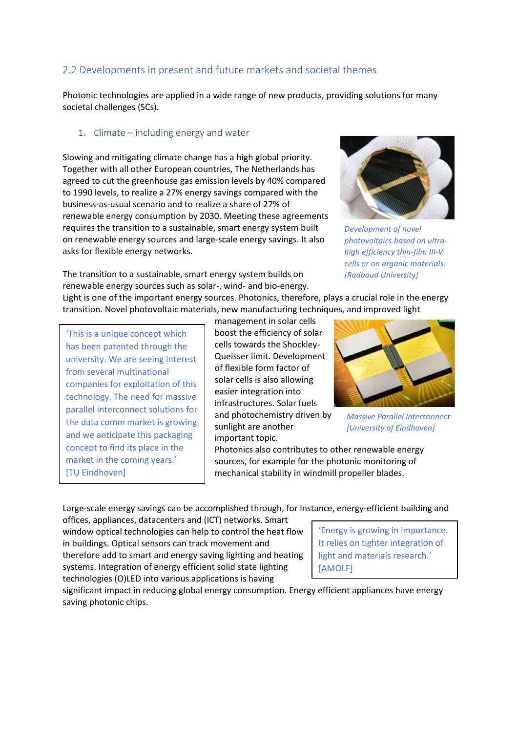# <span id="page-14-0"></span>2.2 Developments in present and future markets and societal themes

Photonic technologies are applied in a wide range of new products, providing solutions for many societal challenges (SCs).

#### <span id="page-14-1"></span>1. Climate – including energy and water

Slowing and mitigating climate change has a high global priority. Together with all other European countries, The Netherlands has agreed to cut the greenhouse gas emission levels by 40% compared to 1990 levels, to realize a 27% energy savings compared with the business-as-usual scenario and to realize a share of 27% of renewable energy consumption by 2030. Meeting these agreements requires the transition to a sustainable, smart energy system built on renewable energy sources and large-scale energy savings. It also asks for flexible energy networks.

The transition to a sustainable, smart energy system builds on



*Development of novel photovoltaics based on ultrahigh efficiency thin-film III-V cells or on organic materials. [Radboud University]*

renewable energy sources such as solar-, wind- and bio-energy. Light is one of the important energy sources. Photonics, therefore, plays a crucial role in the energy transition. Novel photovoltaic materials, new manufacturing techniques, and improved light

'This is a unique concept which has been patented through the university. We are seeing interest from several multinational companies for exploitation of this technology. The need for massive parallel interconnect solutions for the data comm market is growing and we anticipate this packaging concept to find its place in the market in the coming years.' [TU Eindhoven]

management in solar cells boost the efficiency of solar cells towards the Shockley-Queisser limit. Development of flexible form factor of solar cells is also allowing easier integration into infrastructures. Solar fuels and photochemistry driven by sunlight are another important topic.

*Massive Parallel Interconnect [University of Eindhoven]*

Photonics also contributes to other renewable energy sources, for example for the photonic monitoring of mechanical stability in windmill propeller blades.

Large-scale energy savings can be accomplished through, for instance, energy-efficient building and

offices, appliances, datacenters and (ICT) networks. Smart window optical technologies can help to control the heat flow in buildings. Optical sensors can track movement and therefore add to smart and energy saving lighting and heating systems. Integration of energy efficient solid state lighting technologies (O)LED into various applications is having

'Energy is growing in importance. It relies on tighter integration of light and materials research.' [AMOLF]

significant impact in reducing global energy consumption. Energy efficient appliances have energy saving photonic chips.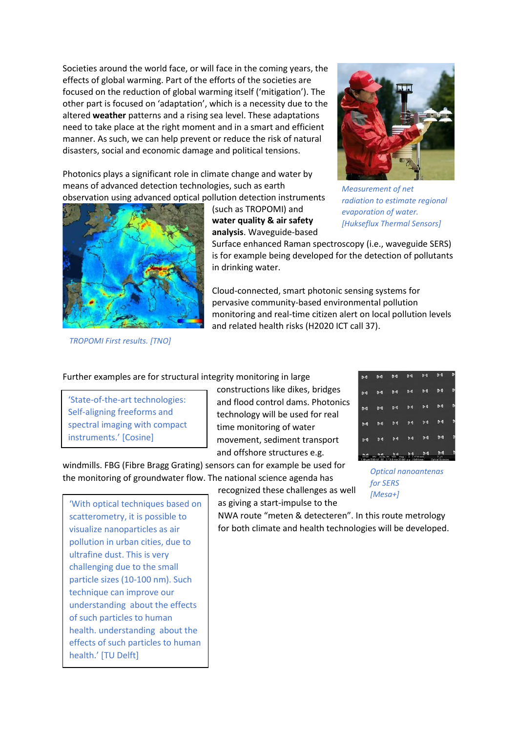Societies around the world face, or will face in the coming years, the effects of global warming. Part of the efforts of the societies are focused on the reduction of global warming itself ('mitigation'). The other part is focused on 'adaptation', which is a necessity due to the altered **weather** patterns and a rising sea level. These adaptations need to take place at the right moment and in a smart and efficient manner. As such, we can help prevent or reduce the risk of natural disasters, social and economic damage and political tensions.

Photonics plays a significant role in climate change and water by means of advanced detection technologies, such as earth observation using advanced optical pollution detection instruments

> (such as TROPOMI) and **water quality & air safety analysis**. Waveguide-based





Surface enhanced Raman spectroscopy (i.e., waveguide SERS) is for example being developed for the detection of pollutants in drinking water.

Cloud-connected, smart photonic sensing systems for pervasive community-based environmental pollution monitoring and real-time citizen alert on local pollution levels and related health risks (H2020 ICT call 37).

*TROPOMI First results. [TNO]*

Further examples are for structural integrity monitoring in large

'State-of-the-art technologies: Self-aligning freeforms and spectral imaging with compact instruments.' [Cosine]

constructions like dikes, bridges and flood control dams. Photonics technology will be used for real time monitoring of water movement, sediment transport and offshore structures e.g.

windmills. FBG (Fibre Bragg Grating) sensors can for example be used for the monitoring of groundwater flow. The national science agenda has

recognized these challenges as well as giving a start-impulse to the



*Optical nanoantenas for SERS [Mesa+]*

'With optical techniques based on scatterometry, it is possible to visualize nanoparticles as air pollution in urban cities, due to ultrafine dust. This is very challenging due to the small particle sizes (10-100 nm). Such technique can improve our understanding about the effects of such particles to human health. understanding about the effects of such particles to human health.' [TU Delft]

NWA route "meten & detecteren". In this route metrology for both climate and health technologies will be developed.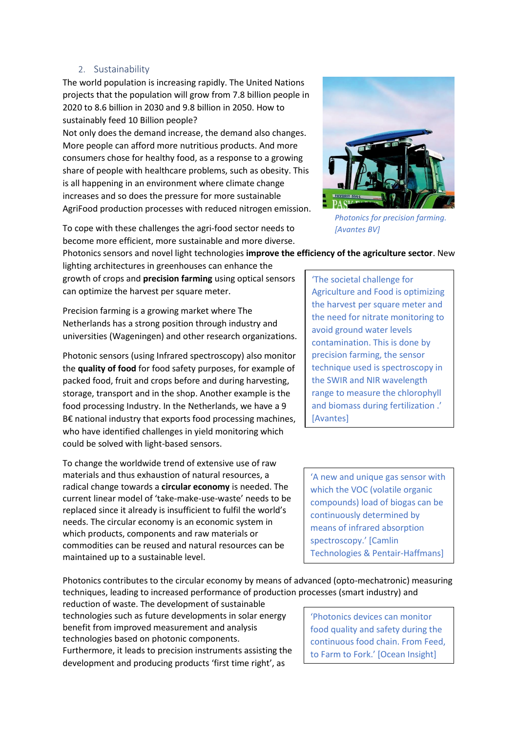#### 2. Sustainability

<span id="page-16-0"></span>The world population is increasing rapidly. The United Nations projects that the population will grow from 7.8 billion people in 2020 to 8.6 billion in 2030 and 9.8 billion in 2050. How to sustainably feed 10 Billion people?

Not only does the demand increase, the demand also changes. More people can afford more nutritious products. And more consumers chose for healthy food, as a response to a growing share of people with healthcare problems, such as obesity. This is all happening in an environment where climate change increases and so does the pressure for more sustainable AgriFood production processes with reduced nitrogen emission.

To cope with these challenges the agri-food sector needs to become more efficient, more sustainable and more diverse.



*Photonics for precision farming. [Avantes BV]*

Photonics sensors and novel light technologies **improve the efficiency of the agriculture sector**. New

lighting architectures in greenhouses can enhance the growth of crops and **precision farming** using optical sensors can optimize the harvest per square meter.

Precision farming is a growing market where The Netherlands has a strong position through industry and universities (Wageningen) and other research organizations.

Photonic sensors (using Infrared spectroscopy) also monitor the **quality of food** for food safety purposes, for example of packed food, fruit and crops before and during harvesting, storage, transport and in the shop. Another example is the food processing Industry. In the Netherlands, we have a 9 B€ national industry that exports food processing machines, who have identified challenges in yield monitoring which could be solved with light-based sensors.

To change the worldwide trend of extensive use of raw materials and thus exhaustion of natural resources, a radical change towards a **circular economy** is needed. The current linear model of 'take-make-use-waste' needs to be replaced since it already is insufficient to fulfil the world's needs. The circular economy is an economic system in which products, components and raw materials or commodities can be reused and natural resources can be maintained up to a sustainable level.

'The societal challenge for Agriculture and Food is optimizing the harvest per square meter and the need for nitrate monitoring to avoid ground water levels contamination. This is done by precision farming, the sensor technique used is spectroscopy in the SWIR and NIR wavelength range to measure the chlorophyll and biomass during fertilization .' **[Avantes]** 

'A new and unique gas sensor with which the VOC (volatile organic compounds) load of biogas can be continuously determined by means of infrared absorption spectroscopy.' [Camlin Technologies & Pentair-Haffmans]

Photonics contributes to the circular economy by means of advanced (opto-mechatronic) measuring techniques, leading to increased performance of production processes (smart industry) and

reduction of waste. The development of sustainable technologies such as future developments in solar energy benefit from improved measurement and analysis technologies based on photonic components. Furthermore, it leads to precision instruments assisting the development and producing products 'first time right', as

'Photonics devices can monitor food quality and safety during the continuous food chain. From Feed, to Farm to Fork.' [Ocean Insight]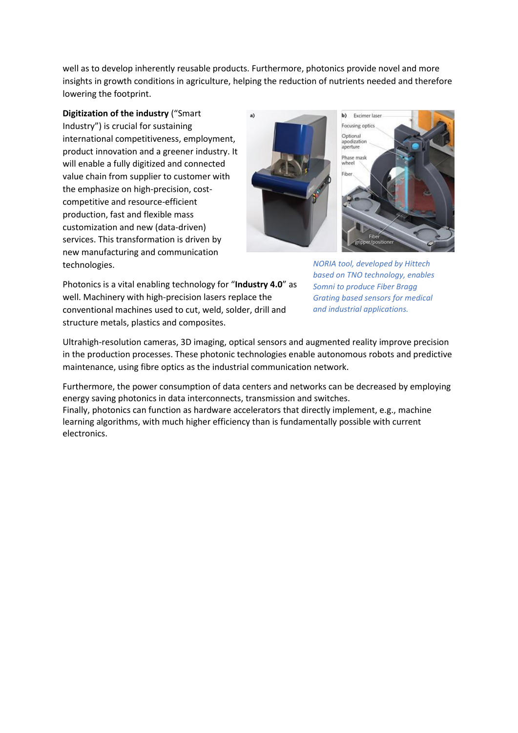well as to develop inherently reusable products. Furthermore, photonics provide novel and more insights in growth conditions in agriculture, helping the reduction of nutrients needed and therefore lowering the footprint.

**Digitization of the industry** ("Smart Industry") is crucial for sustaining international competitiveness, employment, product innovation and a greener industry. It will enable a fully digitized and connected value chain from supplier to customer with the emphasize on high-precision, costcompetitive and resource-efficient production, fast and flexible mass customization and new (data-driven) services. This transformation is driven by new manufacturing and communication technologies.



*NORIA tool, developed by Hittech based on TNO technology, enables Somni to produce Fiber Bragg Grating based sensors for medical and industrial applications.*

Photonics is a vital enabling technology for "**Industry 4.0**" as well. Machinery with high-precision lasers replace the conventional machines used to cut, weld, solder, drill and structure metals, plastics and composites.

Ultrahigh-resolution cameras, 3D imaging, optical sensors and augmented reality improve precision in the production processes. These photonic technologies enable autonomous robots and predictive maintenance, using fibre optics as the industrial communication network.

Furthermore, the power consumption of data centers and networks can be decreased by employing energy saving photonics in data interconnects, transmission and switches. Finally, photonics can function as hardware accelerators that directly implement, e.g., machine learning algorithms, with much higher efficiency than is fundamentally possible with current electronics.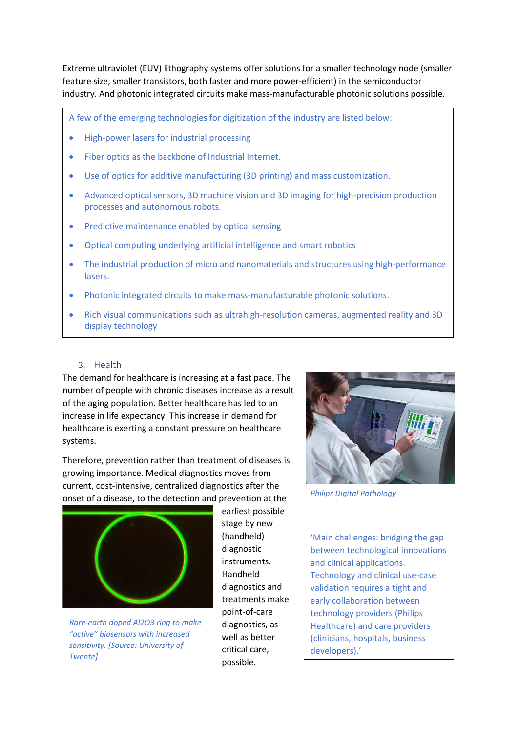Extreme ultraviolet (EUV) lithography systems offer solutions for a smaller technology node (smaller feature size, smaller transistors, both faster and more power-efficient) in the semiconductor industry. And photonic integrated circuits make mass-manufacturable photonic solutions possible.

A few of the emerging technologies for digitization of the industry are listed below:

- High-power lasers for industrial processing
- Fiber optics as the backbone of Industrial Internet.
- Use of optics for additive manufacturing (3D printing) and mass customization.
- Advanced optical sensors, 3D machine vision and 3D imaging for high-precision production processes and autonomous robots.
- Predictive maintenance enabled by optical sensing
- Optical computing underlying artificial intelligence and smart robotics
- The industrial production of micro and nanomaterials and structures using high-performance lasers.
- Photonic integrated circuits to make mass-manufacturable photonic solutions.
- Rich visual communications such as ultrahigh-resolution cameras, augmented reality and 3D display technology

#### 3. Health

<span id="page-18-0"></span>The demand for healthcare is increasing at a fast pace. The number of people with chronic diseases increase as a result of the aging population. Better healthcare has led to an increase in life expectancy. This increase in demand for healthcare is exerting a constant pressure on healthcare systems.

Therefore, prevention rather than treatment of diseases is growing importance. Medical diagnostics moves from current, cost-intensive, centralized diagnostics after the onset of a disease, to the detection and prevention at the



*Rare-earth doped Al2O3 ring to make "active" biosensors with increased sensitivity. [Source: University of Twente]*

earliest possible stage by new (handheld) diagnostic instruments. Handheld diagnostics and treatments make point-of-care diagnostics, as well as better critical care, possible.



*Philips Digital Pathology*

'Main challenges: bridging the gap between technological innovations and clinical applications. Technology and clinical use-case validation requires a tight and early collaboration between technology providers (Philips Healthcare) and care providers (clinicians, hospitals, business developers).'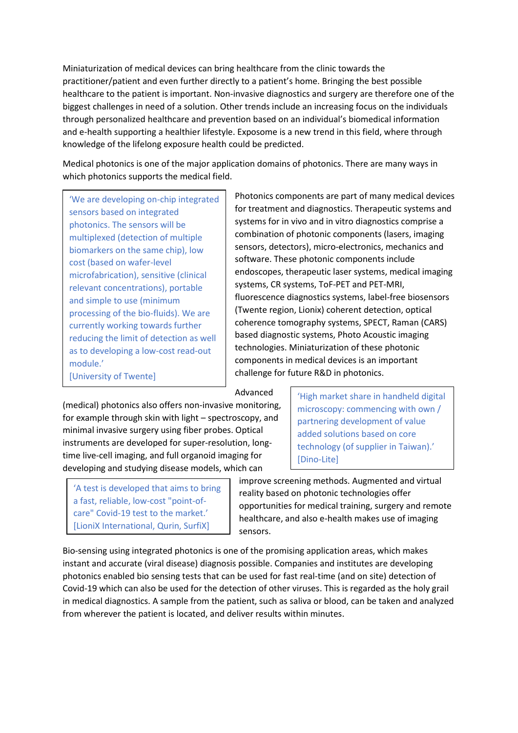Miniaturization of medical devices can bring healthcare from the clinic towards the practitioner/patient and even further directly to a patient's home. Bringing the best possible healthcare to the patient is important. Non-invasive diagnostics and surgery are therefore one of the biggest challenges in need of a solution. Other trends include an increasing focus on the individuals through personalized healthcare and prevention based on an individual's biomedical information and e-health supporting a healthier lifestyle. Exposome is a new trend in this field, where through knowledge of the lifelong exposure health could be predicted.

Medical photonics is one of the major application domains of photonics. There are many ways in which photonics supports the medical field.

'We are developing on-chip integrated sensors based on integrated photonics. The sensors will be multiplexed (detection of multiple biomarkers on the same chip), low cost (based on wafer-level microfabrication), sensitive (clinical relevant concentrations), portable and simple to use (minimum processing of the bio-fluids). We are currently working towards further reducing the limit of detection as well as to developing a low-cost read-out module.' [University of Twente]

Photonics components are part of many medical devices for treatment and diagnostics. Therapeutic systems and systems for in vivo and in vitro diagnostics comprise a combination of photonic components (lasers, imaging sensors, detectors), micro-electronics, mechanics and software. These photonic components include endoscopes, therapeutic laser systems, medical imaging systems, CR systems, ToF-PET and PET-MRI, fluorescence diagnostics systems, label-free biosensors (Twente region, Lionix) coherent detection, optical coherence tomography systems, SPECT, Raman (CARS) based diagnostic systems, Photo Acoustic imaging technologies. Miniaturization of these photonic components in medical devices is an important challenge for future R&D in photonics.

Advanced

(medical) photonics also offers non-invasive monitoring, for example through skin with light – spectroscopy, and minimal invasive surgery using fiber probes. Optical instruments are developed for super-resolution, longtime live-cell imaging, and full organoid imaging for developing and studying disease models, which can

'A test is developed that aims to bring a fast, reliable, low-cost "point-ofcare" Covid-19 test to the market.' [LioniX International, Qurin, SurfiX]

'High market share in handheld digital microscopy: commencing with own / partnering development of value added solutions based on core technology (of supplier in Taiwan).' [Dino-Lite]

improve screening methods. Augmented and virtual reality based on photonic technologies offer opportunities for medical training, surgery and remote healthcare, and also e-health makes use of imaging sensors.

Bio-sensing using integrated photonics is one of the promising application areas, which makes instant and accurate (viral disease) diagnosis possible. Companies and institutes are developing photonics enabled bio sensing tests that can be used for fast real-time (and on site) detection of Covid-19 which can also be used for the detection of other viruses. This is regarded as the holy grail in medical diagnostics. A sample from the patient, such as saliva or blood, can be taken and analyzed from wherever the patient is located, and deliver results within minutes.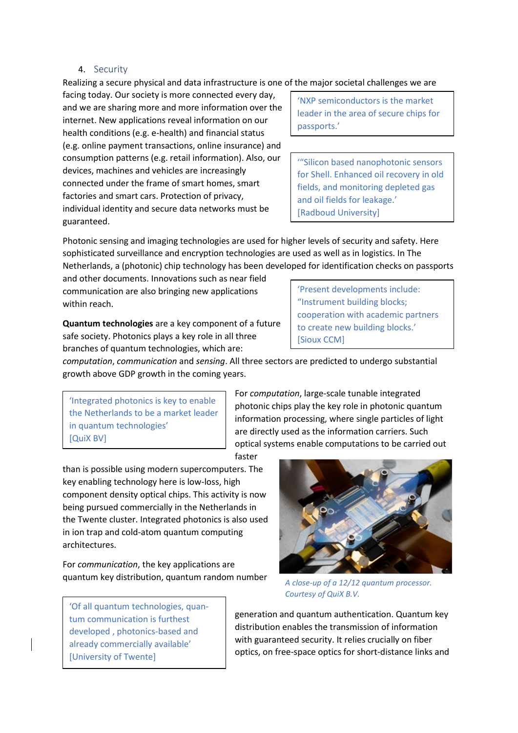#### 4. Security

<span id="page-20-0"></span>Realizing a secure physical and data infrastructure is one of the major societal challenges we are

facing today. Our society is more connected every day, and we are sharing more and more information over the internet. New applications reveal information on our health conditions (e.g. e-health) and financial status (e.g. online payment transactions, online insurance) and consumption patterns (e.g. retail information). Also, our devices, machines and vehicles are increasingly connected under the frame of smart homes, smart factories and smart cars. Protection of privacy, individual identity and secure data networks must be guaranteed.

'NXP semiconductors is the market leader in the area of secure chips for passports.'

'"Silicon based nanophotonic sensors for Shell. Enhanced oil recovery in old fields, and monitoring depleted gas and oil fields for leakage.' [Radboud University]

Photonic sensing and imaging technologies are used for higher levels of security and safety. Here sophisticated surveillance and encryption technologies are used as well as in logistics. In The Netherlands, a (photonic) chip technology has been developed for identification checks on passports

and other documents. Innovations such as near field communication are also bringing new applications within reach.

**Quantum technologies** are a key component of a future safe society. Photonics plays a key role in all three branches of quantum technologies, which are:

'Present developments include: "Instrument building blocks; cooperation with academic partners to create new building blocks.' [Sioux CCM]

*computation*, *communication* and *sensing*. All three sectors are predicted to undergo substantial growth above GDP growth in the coming years.

'Integrated photonics is key to enable the Netherlands to be a market leader in quantum technologies' [QuiX BV]

For *computation*, large-scale tunable integrated photonic chips play the key role in photonic quantum information processing, where single particles of light are directly used as the information carriers. Such optical systems enable computations to be carried out

faster

than is possible using modern supercomputers. The key enabling technology here is low-loss, high component density optical chips. This activity is now being pursued commercially in the Netherlands in the Twente cluster. Integrated photonics is also used in ion trap and cold-atom quantum computing architectures.

For *communication*, the key applications are quantum key distribution, quantum random number

'Of all quantum technologies, quantum communication is furthest developed , photonics-based and already commercially available' [University of Twente]



*A close-up of a 12/12 quantum processor. Courtesy of QuiX B.V.*

generation and quantum authentication. Quantum key distribution enables the transmission of information with guaranteed security. It relies crucially on fiber optics, on free-space optics for short-distance links and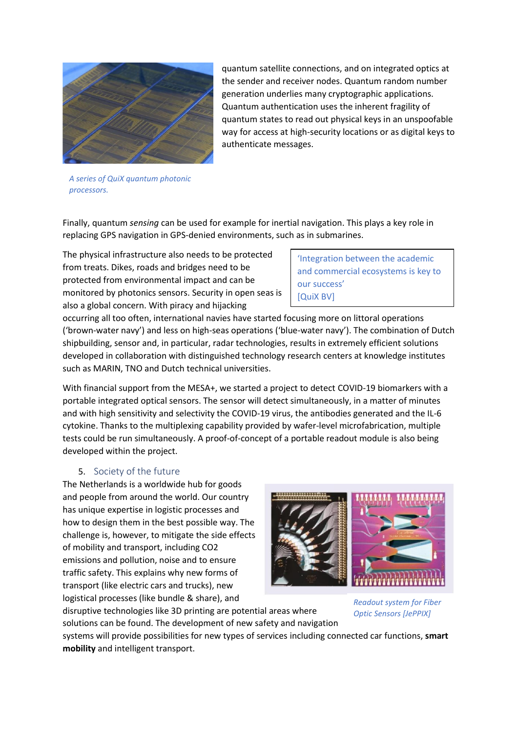

generation underlies many cryptographic applications. Quantum authentication uses the inherent fragility of quantum states to read out physical keys in an unspoofable way for access at high-security locations or as digital keys to authenticate messages.

quantum satellite connections, and on integrated optics at the sender and receiver nodes. Quantum random number

*A series of QuiX quantum photonic processors.*

Finally, quantum *sensing* can be used for example for inertial navigation. This plays a key role in replacing GPS navigation in GPS-denied environments, such as in submarines.

The physical infrastructure also needs to be protected from treats. Dikes, roads and bridges need to be protected from environmental impact and can be monitored by photonics sensors. Security in open seas is also a global concern. With piracy and hijacking

'Integration between the academic and commercial ecosystems is key to our success' [QuiX BV]

occurring all too often, international navies have started focusing more on littoral operations ('brown-water navy') and less on high-seas operations ('blue-water navy'). The combination of Dutch shipbuilding, sensor and, in particular, radar technologies, results in extremely efficient solutions developed in collaboration with distinguished technology research centers at knowledge institutes such as MARIN, TNO and Dutch technical universities.

With financial support from the MESA+, we started a project to detect COVID-19 biomarkers with a portable integrated optical sensors. The sensor will detect simultaneously, in a matter of minutes and with high sensitivity and selectivity the COVID-19 virus, the antibodies generated and the IL-6 cytokine. Thanks to the multiplexing capability provided by wafer-level microfabrication, multiple tests could be run simultaneously. A proof-of-concept of a portable readout module is also being developed within the project.

# 5. Society of the future

<span id="page-21-0"></span>The Netherlands is a worldwide hub for goods and people from around the world. Our country has unique expertise in logistic processes and how to design them in the best possible way. The challenge is, however, to mitigate the side effects of mobility and transport, including CO2 emissions and pollution, noise and to ensure traffic safety. This explains why new forms of transport (like electric cars and trucks), new logistical processes (like bundle & share), and

disruptive technologies like 3D printing are potential areas where solutions can be found. The development of new safety and navigation



*Readout system for Fiber Optic Sensors [JePPIX]*

systems will provide possibilities for new types of services including connected car functions, **smart mobility** and intelligent transport.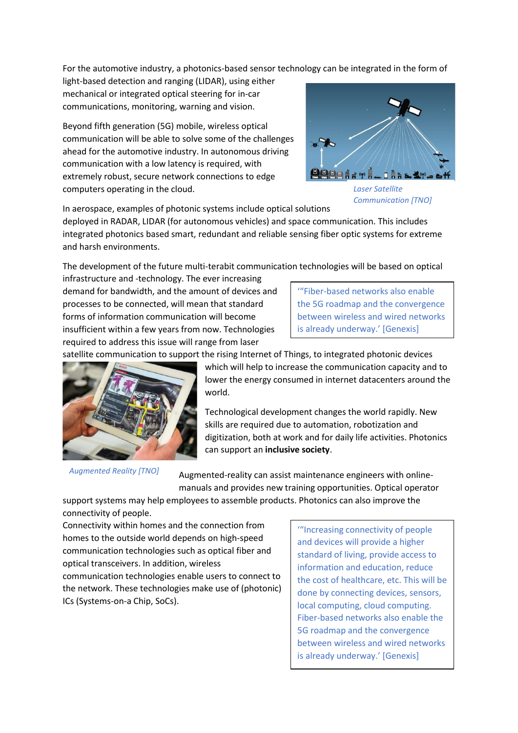For the automotive industry, a photonics-based sensor technology can be integrated in the form of

light-based detection and ranging (LIDAR), using either mechanical or integrated optical steering for in-car communications, monitoring, warning and vision.

Beyond fifth generation (5G) mobile, wireless optical communication will be able to solve some of the challenges ahead for the automotive industry. In autonomous driving communication with a low latency is required, with extremely robust, secure network connections to edge computers operating in the cloud.



*Laser Satellite Communication [TNO]*

In aerospace, examples of photonic systems include optical solutions

deployed in RADAR, LIDAR (for autonomous vehicles) and space communication. This includes integrated photonics based smart, redundant and reliable sensing fiber optic systems for extreme and harsh environments.

The development of the future multi-terabit communication technologies will be based on optical

infrastructure and -technology. The ever increasing demand for bandwidth, and the amount of devices and processes to be connected, will mean that standard forms of information communication will become insufficient within a few years from now. Technologies required to address this issue will range from laser

'"Fiber-based networks also enable the 5G roadmap and the convergence between wireless and wired networks is already underway.' [Genexis]

satellite communication to support the rising Internet of Things, to integrated photonic devices



*Augmented Reality [TNO]*

which will help to increase the communication capacity and to lower the energy consumed in internet datacenters around the world.

Technological development changes the world rapidly. New skills are required due to automation, robotization and digitization, both at work and for daily life activities. Photonics can support an **inclusive society**.

Augmented-reality can assist maintenance engineers with onlinemanuals and provides new training opportunities. Optical operator

support systems may help employees to assemble products. Photonics can also improve the connectivity of people.

Connectivity within homes and the connection from homes to the outside world depends on high-speed communication technologies such as optical fiber and optical transceivers. In addition, wireless communication technologies enable users to connect to the network. These technologies make use of (photonic) ICs (Systems-on-a Chip, SoCs).

'"Increasing connectivity of people and devices will provide a higher standard of living, provide access to information and education, reduce the cost of healthcare, etc. This will be done by connecting devices, sensors, local computing, cloud computing. Fiber-based networks also enable the 5G roadmap and the convergence between wireless and wired networks is already underway.' [Genexis]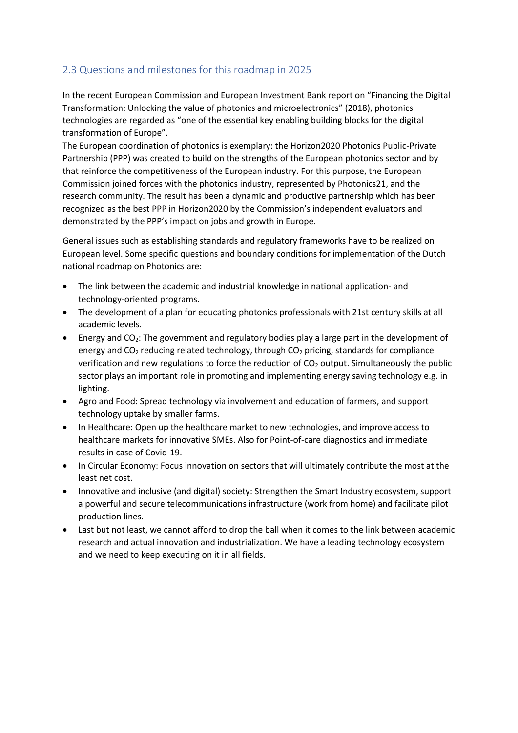# <span id="page-23-0"></span>2.3 Questions and milestones for this roadmap in 2025

In the recent European Commission and European Investment Bank report on "Financing the Digital Transformation: Unlocking the value of photonics and microelectronics" (2018), photonics technologies are regarded as "one of the essential key enabling building blocks for the digital transformation of Europe".

The European coordination of photonics is exemplary: the Horizon2020 Photonics Public-Private Partnership (PPP) was created to build on the strengths of the European photonics sector and by that reinforce the competitiveness of the European industry. For this purpose, the European Commission joined forces with the photonics industry, represented by Photonics21, and the research community. The result has been a dynamic and productive partnership which has been recognized as the best PPP in Horizon2020 by the Commission's independent evaluators and demonstrated by the PPP's impact on jobs and growth in Europe.

General issues such as establishing standards and regulatory frameworks have to be realized on European level. Some specific questions and boundary conditions for implementation of the Dutch national roadmap on Photonics are:

- The link between the academic and industrial knowledge in national application- and technology-oriented programs.
- The development of a plan for educating photonics professionals with 21st century skills at all academic levels.
- Energy and  $CO<sub>2</sub>$ : The government and regulatory bodies play a large part in the development of energy and  $CO<sub>2</sub>$  reducing related technology, through  $CO<sub>2</sub>$  pricing, standards for compliance verification and new regulations to force the reduction of  $CO<sub>2</sub>$  output. Simultaneously the public sector plays an important role in promoting and implementing energy saving technology e.g. in lighting.
- Agro and Food: Spread technology via involvement and education of farmers, and support technology uptake by smaller farms.
- In Healthcare: Open up the healthcare market to new technologies, and improve access to healthcare markets for innovative SMEs. Also for Point-of-care diagnostics and immediate results in case of Covid-19.
- In Circular Economy: Focus innovation on sectors that will ultimately contribute the most at the least net cost.
- Innovative and inclusive (and digital) society: Strengthen the Smart Industry ecosystem, support a powerful and secure telecommunications infrastructure (work from home) and facilitate pilot production lines.
- Last but not least, we cannot afford to drop the ball when it comes to the link between academic research and actual innovation and industrialization. We have a leading technology ecosystem and we need to keep executing on it in all fields.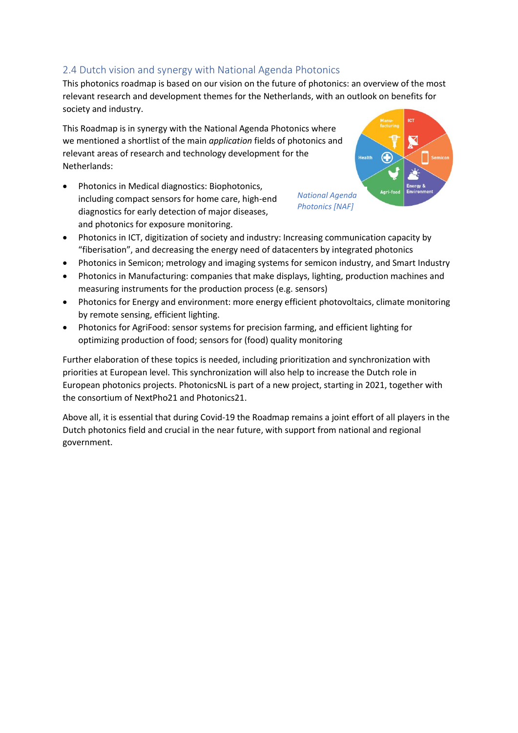# <span id="page-24-0"></span>2.4 Dutch vision and synergy with National Agenda Photonics

This photonics roadmap is based on our vision on the future of photonics: an overview of the most relevant research and development themes for the Netherlands, with an outlook on benefits for society and industry.

This Roadmap is in synergy with the National Agenda Photonics where we mentioned a shortlist of the main *application* fields of photonics and relevant areas of research and technology development for the Netherlands:

• Photonics in Medical diagnostics: Biophotonics, including compact sensors for home care, high-end diagnostics for early detection of major diseases, and photonics for exposure monitoring.

ic1 *National Agenda Photonics [NAF]*

- Photonics in ICT, digitization of society and industry: Increasing communication capacity by "fiberisation", and decreasing the energy need of datacenters by integrated photonics
- Photonics in Semicon; metrology and imaging systems for semicon industry, and Smart Industry
- Photonics in Manufacturing: companies that make displays, lighting, production machines and measuring instruments for the production process (e.g. sensors)
- Photonics for Energy and environment: more energy efficient photovoltaics, climate monitoring by remote sensing, efficient lighting.
- Photonics for AgriFood: sensor systems for precision farming, and efficient lighting for optimizing production of food; sensors for (food) quality monitoring

Further elaboration of these topics is needed, including prioritization and synchronization with priorities at European level. This synchronization will also help to increase the Dutch role in European photonics projects. PhotonicsNL is part of a new project, starting in 2021, together with the consortium of NextPho21 and Photonics21.

Above all, it is essential that during Covid-19 the Roadmap remains a joint effort of all players in the Dutch photonics field and crucial in the near future, with support from national and regional government.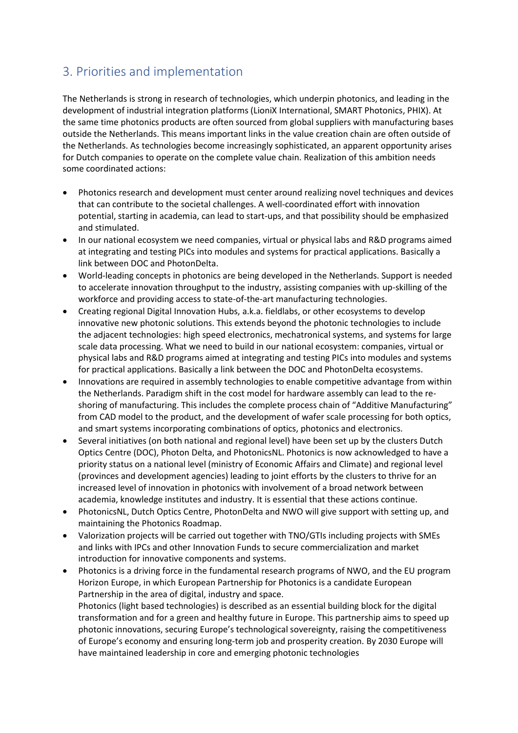# <span id="page-25-0"></span>3. Priorities and implementation

The Netherlands is strong in research of technologies, which underpin photonics, and leading in the development of industrial integration platforms (LioniX International, SMART Photonics, PHIX). At the same time photonics products are often sourced from global suppliers with manufacturing bases outside the Netherlands. This means important links in the value creation chain are often outside of the Netherlands. As technologies become increasingly sophisticated, an apparent opportunity arises for Dutch companies to operate on the complete value chain. Realization of this ambition needs some coordinated actions:

- Photonics research and development must center around realizing novel techniques and devices that can contribute to the societal challenges. A well-coordinated effort with innovation potential, starting in academia, can lead to start-ups, and that possibility should be emphasized and stimulated.
- In our national ecosystem we need companies, virtual or physical labs and R&D programs aimed at integrating and testing PICs into modules and systems for practical applications. Basically a link between DOC and PhotonDelta.
- World-leading concepts in photonics are being developed in the Netherlands. Support is needed to accelerate innovation throughput to the industry, assisting companies with up-skilling of the workforce and providing access to state-of-the-art manufacturing technologies.
- Creating regional Digital Innovation Hubs, a.k.a. fieldlabs, or other ecosystems to develop innovative new photonic solutions. This extends beyond the photonic technologies to include the adjacent technologies: high speed electronics, mechatronical systems, and systems for large scale data processing. What we need to build in our national ecosystem: companies, virtual or physical labs and R&D programs aimed at integrating and testing PICs into modules and systems for practical applications. Basically a link between the DOC and PhotonDelta ecosystems.
- Innovations are required in assembly technologies to enable competitive advantage from within the Netherlands. Paradigm shift in the cost model for hardware assembly can lead to the reshoring of manufacturing. This includes the complete process chain of "Additive Manufacturing" from CAD model to the product, and the development of wafer scale processing for both optics, and smart systems incorporating combinations of optics, photonics and electronics.
- Several initiatives (on both national and regional level) have been set up by the clusters Dutch Optics Centre (DOC), Photon Delta, and PhotonicsNL. Photonics is now acknowledged to have a priority status on a national level (ministry of Economic Affairs and Climate) and regional level (provinces and development agencies) leading to joint efforts by the clusters to thrive for an increased level of innovation in photonics with involvement of a broad network between academia, knowledge institutes and industry. It is essential that these actions continue.
- PhotonicsNL, Dutch Optics Centre, PhotonDelta and NWO will give support with setting up, and maintaining the Photonics Roadmap.
- Valorization projects will be carried out together with TNO/GTIs including projects with SMEs and links with IPCs and other Innovation Funds to secure commercialization and market introduction for innovative components and systems.
- Photonics is a driving force in the fundamental research programs of NWO, and the EU program Horizon Europe, in which European Partnership for Photonics is a candidate European Partnership in the area of digital, industry and space. Photonics (light based technologies) is described as an essential building block for the digital transformation and for a green and healthy future in Europe. This partnership aims to speed up photonic innovations, securing Europe's technological sovereignty, raising the competitiveness of Europe's economy and ensuring long-term job and prosperity creation. By 2030 Europe will have maintained leadership in core and emerging photonic technologies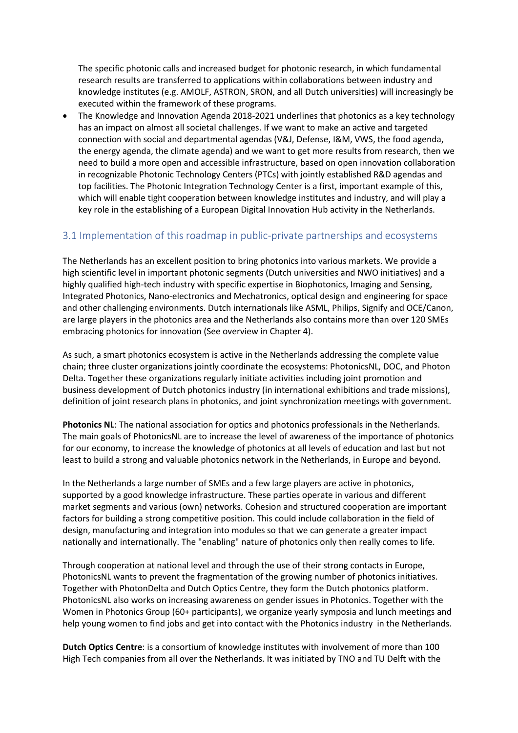The specific photonic calls and increased budget for photonic research, in which fundamental research results are transferred to applications within collaborations between industry and knowledge institutes (e.g. AMOLF, ASTRON, SRON, and all Dutch universities) will increasingly be executed within the framework of these programs.

• The Knowledge and Innovation Agenda 2018-2021 underlines that photonics as a key technology has an impact on almost all societal challenges. If we want to make an active and targeted connection with social and departmental agendas (V&J, Defense, I&M, VWS, the food agenda, the energy agenda, the climate agenda) and we want to get more results from research, then we need to build a more open and accessible infrastructure, based on open innovation collaboration in recognizable Photonic Technology Centers (PTCs) with jointly established R&D agendas and top facilities. The Photonic Integration Technology Center is a first, important example of this, which will enable tight cooperation between knowledge institutes and industry, and will play a key role in the establishing of a European Digital Innovation Hub activity in the Netherlands.

# <span id="page-26-0"></span>3.1 Implementation of this roadmap in public-private partnerships and ecosystems

The Netherlands has an excellent position to bring photonics into various markets. We provide a high scientific level in important photonic segments (Dutch universities and NWO initiatives) and a highly qualified high-tech industry with specific expertise in Biophotonics, Imaging and Sensing, Integrated Photonics, Nano-electronics and Mechatronics, optical design and engineering for space and other challenging environments. Dutch internationals like ASML, Philips, Signify and OCE/Canon, are large players in the photonics area and the Netherlands also contains more than over 120 SMEs embracing photonics for innovation (See overview in Chapter 4).

As such, a smart photonics ecosystem is active in the Netherlands addressing the complete value chain; three cluster organizations jointly coordinate the ecosystems: PhotonicsNL, DOC, and Photon Delta. Together these organizations regularly initiate activities including joint promotion and business development of Dutch photonics industry (in international exhibitions and trade missions), definition of joint research plans in photonics, and joint synchronization meetings with government.

**Photonics NL**: The national association for optics and photonics professionals in the Netherlands. The main goals of PhotonicsNL are to increase the level of awareness of the importance of photonics for our economy, to increase the knowledge of photonics at all levels of education and last but not least to build a strong and valuable photonics network in the Netherlands, in Europe and beyond.

In the Netherlands a large number of SMEs and a few large players are active in photonics, supported by a good knowledge infrastructure. These parties operate in various and different market segments and various (own) networks. Cohesion and structured cooperation are important factors for building a strong competitive position. This could include collaboration in the field of design, manufacturing and integration into modules so that we can generate a greater impact nationally and internationally. The "enabling" nature of photonics only then really comes to life.

Through cooperation at national level and through the use of their strong contacts in Europe, PhotonicsNL wants to prevent the fragmentation of the growing number of photonics initiatives. Together with PhotonDelta and Dutch Optics Centre, they form the Dutch photonics platform. PhotonicsNL also works on increasing awareness on gender issues in Photonics. Together with the Women in Photonics Group (60+ participants), we organize yearly symposia and lunch meetings and help young women to find jobs and get into contact with the Photonics industry in the Netherlands.

**Dutch Optics Centre**: is a consortium of knowledge institutes with involvement of more than 100 High Tech companies from all over the Netherlands. It was initiated by TNO and TU Delft with the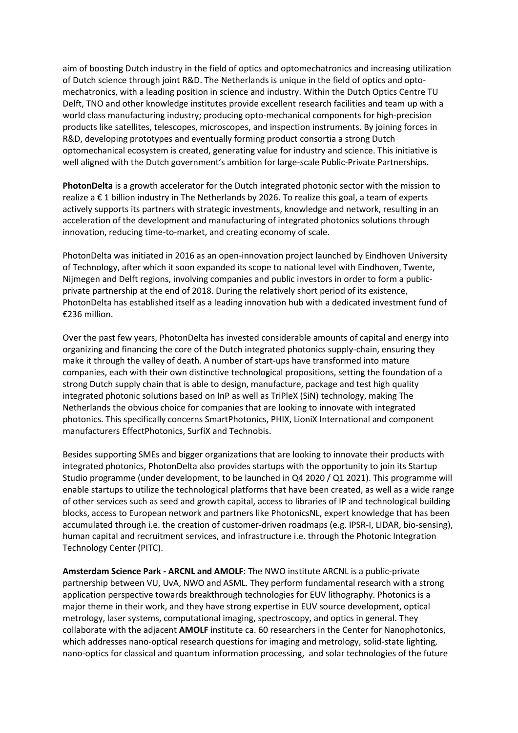aim of boosting Dutch industry in the field of optics and optomechatronics and increasing utilization of Dutch science through joint R&D. The Netherlands is unique in the field of optics and optomechatronics, with a leading position in science and industry. Within the Dutch Optics Centre TU Delft, TNO and other knowledge institutes provide excellent research facilities and team up with a world class manufacturing industry; producing opto-mechanical components for high-precision products like satellites, telescopes, microscopes, and inspection instruments. By joining forces in R&D, developing prototypes and eventually forming product consortia a strong Dutch optomechanical ecosystem is created, generating value for industry and science. This initiative is well aligned with the Dutch government's ambition for large-scale Public-Private Partnerships.

**PhotonDelta** is a growth accelerator for the Dutch integrated photonic sector with the mission to realize a € 1 billion industry in The Netherlands by 2026. To realize this goal, a team of experts actively supports its partners with strategic investments, knowledge and network, resulting in an acceleration of the development and manufacturing of integrated photonics solutions through innovation, reducing time-to-market, and creating economy of scale.

PhotonDelta was initiated in 2016 as an open-innovation project launched by Eindhoven University of Technology, after which it soon expanded its scope to national level with Eindhoven, Twente, Nijmegen and Delft regions, involving companies and public investors in order to form a publicprivate partnership at the end of 2018. During the relatively short period of its existence, PhotonDelta has established itself as a leading innovation hub with a dedicated investment fund of €236 million.

Over the past few years, PhotonDelta has invested considerable amounts of capital and energy into organizing and financing the core of the Dutch integrated photonics supply-chain, ensuring they make it through the valley of death. A number of start-ups have transformed into mature companies, each with their own distinctive technological propositions, setting the foundation of a strong Dutch supply chain that is able to design, manufacture, package and test high quality integrated photonic solutions based on InP as well as TriPleX (SiN) technology, making The Netherlands the obvious choice for companies that are looking to innovate with integrated photonics. This specifically concerns SmartPhotonics, PHIX, LioniX International and component manufacturers EffectPhotonics, SurfiX and Technobis.

Besides supporting SMEs and bigger organizations that are looking to innovate their products with integrated photonics, PhotonDelta also provides startups with the opportunity to join its Startup Studio programme (under development, to be launched in Q4 2020 / Q1 2021). This programme will enable startups to utilize the technological platforms that have been created, as well as a wide range of other services such as seed and growth capital, access to libraries of IP and technological building blocks, access to European network and partners like PhotonicsNL, expert knowledge that has been accumulated through i.e. the creation of customer-driven roadmaps (e.g. IPSR-I, LIDAR, bio-sensing), human capital and recruitment services, and infrastructure i.e. through the Photonic Integration Technology Center (PITC).

**Amsterdam Science Park - ARCNL and AMOLF**: The NWO institute ARCNL is a public-private partnership between VU, UvA, NWO and ASML. They perform fundamental research with a strong application perspective towards breakthrough technologies for EUV lithography. Photonics is a major theme in their work, and they have strong expertise in EUV source development, optical metrology, laser systems, computational imaging, spectroscopy, and optics in general. They collaborate with the adjacent **AMOLF** institute ca. 60 researchers in the Center for Nanophotonics, which addresses nano-optical research questions for imaging and metrology, solid-state lighting, nano-optics for classical and quantum information processing, and solar technologies of the future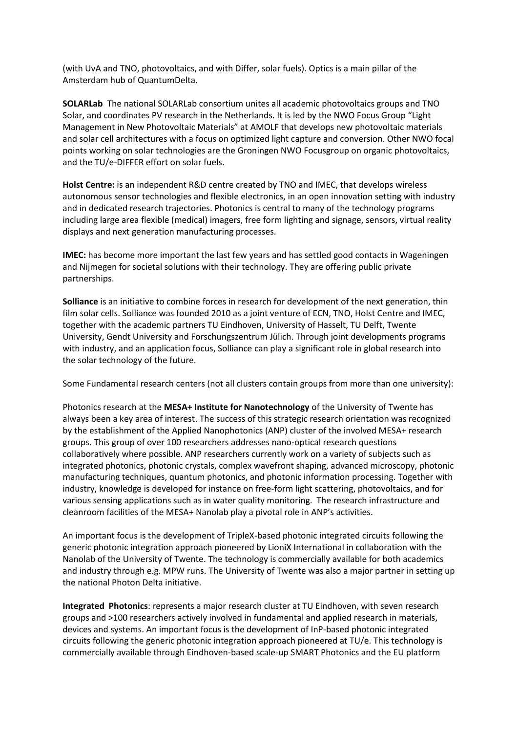(with UvA and TNO, photovoltaics, and with Differ, solar fuels). Optics is a main pillar of the Amsterdam hub of QuantumDelta.

**SOLARLab** The national SOLARLab consortium unites all academic photovoltaics groups and TNO Solar, and coordinates PV research in the Netherlands. It is led by the NWO Focus Group "Light Management in New Photovoltaic Materials" at AMOLF that develops new photovoltaic materials and solar cell architectures with a focus on optimized light capture and conversion. Other NWO focal points working on solar technologies are the Groningen NWO Focusgroup on organic photovoltaics, and the TU/e-DIFFER effort on solar fuels.

**Holst Centre:** is an independent R&D centre created by TNO and IMEC, that develops wireless autonomous sensor technologies and flexible electronics, in an open innovation setting with industry and in dedicated research trajectories. Photonics is central to many of the technology programs including large area flexible (medical) imagers, free form lighting and signage, sensors, virtual reality displays and next generation manufacturing processes.

**IMEC:** has become more important the last few years and has settled good contacts in Wageningen and Nijmegen for societal solutions with their technology. They are offering public private partnerships.

**Solliance** is an initiative to combine forces in research for development of the next generation, thin film solar cells. Solliance was founded 2010 as a joint venture of ECN, TNO, Holst Centre and IMEC, together with the academic partners TU Eindhoven, University of Hasselt, TU Delft, Twente University, Gendt University and Forschungszentrum Jülich. Through joint developments programs with industry, and an application focus, Solliance can play a significant role in global research into the solar technology of the future.

Some Fundamental research centers (not all clusters contain groups from more than one university):

Photonics research at the **MESA+ Institute for Nanotechnology** of the University of Twente has always been a key area of interest. The success of this strategic research orientation was recognized by the establishment of the Applied Nanophotonics (ANP) cluster of the involved MESA+ research groups. This group of over 100 researchers addresses nano-optical research questions collaboratively where possible. ANP researchers currently work on a variety of subjects such as integrated photonics, photonic crystals, complex wavefront shaping, advanced microscopy, photonic manufacturing techniques, quantum photonics, and photonic information processing. Together with industry, knowledge is developed for instance on free-form light scattering, photovoltaics, and for various sensing applications such as in water quality monitoring. The research infrastructure and cleanroom facilities of the MESA+ Nanolab play a pivotal role in ANP's activities.

An important focus is the development of TripleX-based photonic integrated circuits following the generic photonic integration approach pioneered by LioniX International in collaboration with the Nanolab of the University of Twente. The technology is commercially available for both academics and industry through e.g. MPW runs. The University of Twente was also a major partner in setting up the national Photon Delta initiative.

**Integrated Photonics**: represents a major research cluster at TU Eindhoven, with seven research groups and >100 researchers actively involved in fundamental and applied research in materials, devices and systems. An important focus is the development of InP-based photonic integrated circuits following the generic photonic integration approach pioneered at TU/e. This technology is commercially available through Eindhoven-based scale-up SMART Photonics and the EU platform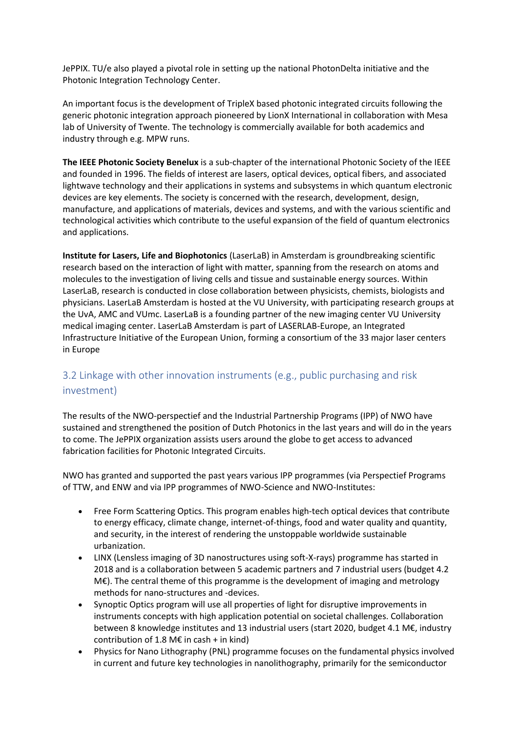JePPIX. TU/e also played a pivotal role in setting up the national PhotonDelta initiative and the Photonic Integration Technology Center.

An important focus is the development of TripleX based photonic integrated circuits following the generic photonic integration approach pioneered by LionX International in collaboration with Mesa lab of University of Twente. The technology is commercially available for both academics and industry through e.g. MPW runs.

**The IEEE Photonic Society Benelux** is a sub-chapter of the international Photonic Society of the IEEE and founded in 1996. The fields of interest are lasers, optical devices, optical fibers, and associated lightwave technology and their applications in systems and subsystems in which quantum electronic devices are key elements. The society is concerned with the research, development, design, manufacture, and applications of materials, devices and systems, and with the various scientific and technological activities which contribute to the useful expansion of the field of quantum electronics and applications.

**Institute for Lasers, Life and Biophotonics** (LaserLaB) in Amsterdam is groundbreaking scientific research based on the interaction of light with matter, spanning from the research on atoms and molecules to the investigation of living cells and tissue and sustainable energy sources. Within LaserLaB, research is conducted in close collaboration between physicists, chemists, biologists and physicians. LaserLaB Amsterdam is hosted at the VU University, with participating research groups at the UvA, AMC and VUmc. LaserLaB is a founding partner of the new imaging center VU University medical imaging center. LaserLaB Amsterdam is part of LASERLAB-Europe, an Integrated Infrastructure Initiative of the European Union, forming a consortium of the 33 major laser centers in Europe

# <span id="page-29-0"></span>3.2 Linkage with other innovation instruments (e.g., public purchasing and risk investment)

The results of the NWO-perspectief and the Industrial Partnership Programs (IPP) of NWO have sustained and strengthened the position of Dutch Photonics in the last years and will do in the years to come. The JePPIX organization assists users around the globe to get access to advanced fabrication facilities for Photonic Integrated Circuits.

NWO has granted and supported the past years various IPP programmes (via Perspectief Programs of TTW, and ENW and via IPP programmes of NWO-Science and NWO-Institutes:

- Free Form Scattering Optics. This program enables high-tech optical devices that contribute to energy efficacy, climate change, internet-of-things, food and water quality and quantity, and security, in the interest of rendering the unstoppable worldwide sustainable urbanization.
- LINX (Lensless imaging of 3D nanostructures using soft-X-rays) programme has started in 2018 and is a collaboration between 5 academic partners and 7 industrial users (budget 4.2 M€). The central theme of this programme is the development of imaging and metrology methods for nano-structures and -devices.
- Synoptic Optics program will use all properties of light for disruptive improvements in instruments concepts with high application potential on societal challenges. Collaboration between 8 knowledge institutes and 13 industrial users (start 2020, budget 4.1 M€, industry contribution of 1.8 M€ in cash + in kind)
- Physics for Nano Lithography (PNL) programme focuses on the fundamental physics involved in current and future key technologies in nanolithography, primarily for the semiconductor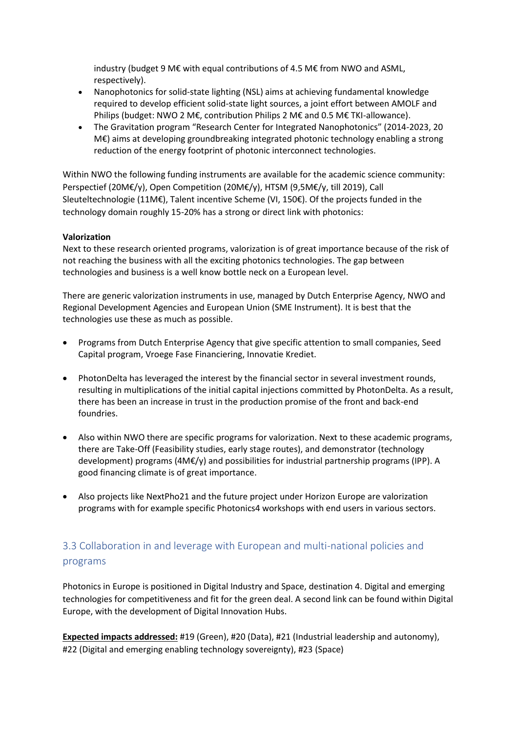industry (budget 9 M€ with equal contributions of 4.5 M€ from NWO and ASML, respectively).

- Nanophotonics for solid-state lighting (NSL) aims at achieving fundamental knowledge required to develop efficient solid-state light sources, a joint effort between AMOLF and Philips (budget: NWO 2 M€, contribution Philips 2 M€ and 0.5 M€ TKI-allowance).
- The Gravitation program "Research Center for Integrated Nanophotonics" (2014-2023, 20 M€) aims at developing groundbreaking integrated photonic technology enabling a strong reduction of the energy footprint of photonic interconnect technologies.

Within NWO the following funding instruments are available for the academic science community: Perspectief (20M€/y), Open Competition (20M€/y), HTSM (9,5M€/y, till 2019), Call Sleuteltechnologie (11M€), Talent incentive Scheme (VI, 150€). Of the projects funded in the technology domain roughly 15-20% has a strong or direct link with photonics:

#### **Valorization**

Next to these research oriented programs, valorization is of great importance because of the risk of not reaching the business with all the exciting photonics technologies. The gap between technologies and business is a well know bottle neck on a European level.

There are generic valorization instruments in use, managed by Dutch Enterprise Agency, NWO and Regional Development Agencies and European Union (SME Instrument). It is best that the technologies use these as much as possible.

- Programs from Dutch Enterprise Agency that give specific attention to small companies, Seed Capital program, Vroege Fase Financiering, Innovatie Krediet.
- PhotonDelta has leveraged the interest by the financial sector in several investment rounds, resulting in multiplications of the initial capital injections committed by PhotonDelta. As a result, there has been an increase in trust in the production promise of the front and back-end foundries.
- Also within NWO there are specific programs for valorization. Next to these academic programs, there are Take-Off (Feasibility studies, early stage routes), and demonstrator (technology development) programs (4M€/y) and possibilities for industrial partnership programs (IPP). A good financing climate is of great importance.
- Also projects like NextPho21 and the future project under Horizon Europe are valorization programs with for example specific Photonics4 workshops with end users in various sectors.

# <span id="page-30-0"></span>3.3 Collaboration in and leverage with European and multi-national policies and programs

Photonics in Europe is positioned in Digital Industry and Space, destination 4. Digital and emerging technologies for competitiveness and fit for the green deal. A second link can be found within Digital Europe, with the development of Digital Innovation Hubs.

**Expected impacts addressed:** #19 (Green), #20 (Data), #21 (Industrial leadership and autonomy), #22 (Digital and emerging enabling technology sovereignty), #23 (Space)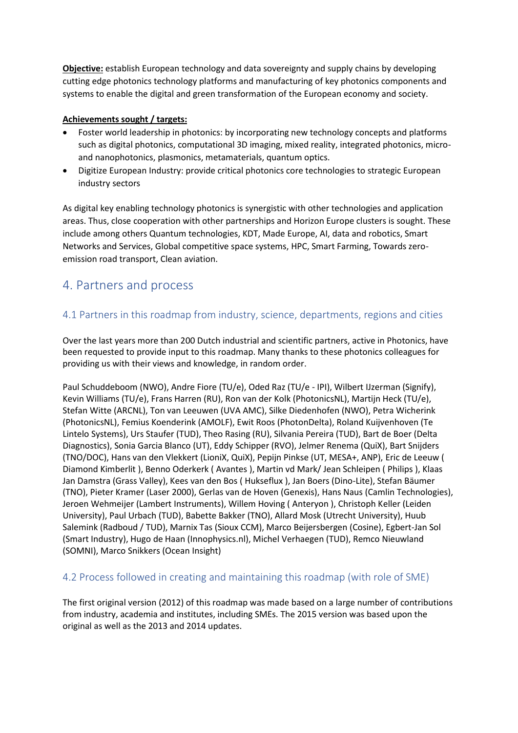**Objective:** establish European technology and data sovereignty and supply chains by developing cutting edge photonics technology platforms and manufacturing of key photonics components and systems to enable the digital and green transformation of the European economy and society.

## **Achievements sought / targets:**

- Foster world leadership in photonics: by incorporating new technology concepts and platforms such as digital photonics, computational 3D imaging, mixed reality, integrated photonics, microand nanophotonics, plasmonics, metamaterials, quantum optics.
- Digitize European Industry: provide critical photonics core technologies to strategic European industry sectors

As digital key enabling technology photonics is synergistic with other technologies and application areas. Thus, close cooperation with other partnerships and Horizon Europe clusters is sought. These include among others Quantum technologies, KDT, Made Europe, AI, data and robotics, Smart Networks and Services, Global competitive space systems, HPC, Smart Farming, Towards zeroemission road transport, Clean aviation.

# <span id="page-31-0"></span>4. Partners and process

# <span id="page-31-1"></span>4.1 Partners in this roadmap from industry, science, departments, regions and cities

Over the last years more than 200 Dutch industrial and scientific partners, active in Photonics, have been requested to provide input to this roadmap. Many thanks to these photonics colleagues for providing us with their views and knowledge, in random order.

Paul Schuddeboom (NWO), Andre Fiore (TU/e), Oded Raz (TU/e - IPI), Wilbert IJzerman (Signify), Kevin Williams (TU/e), Frans Harren (RU), Ron van der Kolk (PhotonicsNL), Martijn Heck (TU/e), Stefan Witte (ARCNL), Ton van Leeuwen (UVA AMC), Silke Diedenhofen (NWO), Petra Wicherink (PhotonicsNL), Femius Koenderink (AMOLF), Ewit Roos (PhotonDelta), Roland Kuijvenhoven (Te Lintelo Systems), Urs Staufer (TUD), Theo Rasing (RU), Silvania Pereira (TUD), Bart de Boer (Delta Diagnostics), Sonia Garcia Blanco (UT), Eddy Schipper (RVO), Jelmer Renema (QuiX), Bart Snijders (TNO/DOC), Hans van den Vlekkert (LioniX, QuiX), Pepijn Pinkse (UT, MESA+, ANP), Eric de Leeuw ( Diamond Kimberlit ), Benno Oderkerk ( Avantes ), Martin vd Mark/ Jean Schleipen ( Philips ), Klaas Jan Damstra (Grass Valley), Kees van den Bos ( Hukseflux ), Jan Boers (Dino-Lite), Stefan Bäumer (TNO), Pieter Kramer (Laser 2000), Gerlas van de Hoven (Genexis), Hans Naus (Camlin Technologies), Jeroen Wehmeijer (Lambert Instruments), Willem Hoving ( Anteryon ), Christoph Keller (Leiden University), Paul Urbach (TUD), Babette Bakker (TNO), Allard Mosk (Utrecht University), Huub Salemink (Radboud / TUD), Marnix Tas (Sioux CCM), Marco Beijersbergen (Cosine), Egbert-Jan Sol (Smart Industry), Hugo de Haan (Innophysics.nl), Michel Verhaegen (TUD), Remco Nieuwland (SOMNI), Marco Snikkers (Ocean Insight)

# <span id="page-31-2"></span>4.2 Process followed in creating and maintaining this roadmap (with role of SME)

The first original version (2012) of this roadmap was made based on a large number of contributions from industry, academia and institutes, including SMEs. The 2015 version was based upon the original as well as the 2013 and 2014 updates.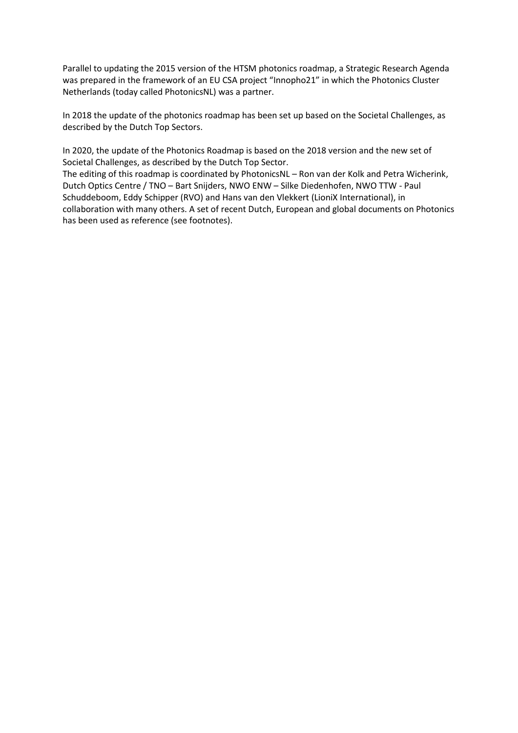Parallel to updating the 2015 version of the HTSM photonics roadmap, a Strategic Research Agenda was prepared in the framework of an EU CSA project "Innopho21" in which the Photonics Cluster Netherlands (today called PhotonicsNL) was a partner.

In 2018 the update of the photonics roadmap has been set up based on the Societal Challenges, as described by the Dutch Top Sectors.

In 2020, the update of the Photonics Roadmap is based on the 2018 version and the new set of Societal Challenges, as described by the Dutch Top Sector.

The editing of this roadmap is coordinated by PhotonicsNL – Ron van der Kolk and Petra Wicherink, Dutch Optics Centre / TNO – Bart Snijders, NWO ENW – Silke Diedenhofen, NWO TTW - Paul Schuddeboom, Eddy Schipper (RVO) and Hans van den Vlekkert (LioniX International), in collaboration with many others. A set of recent Dutch, European and global documents on Photonics has been used as reference (see footnotes).